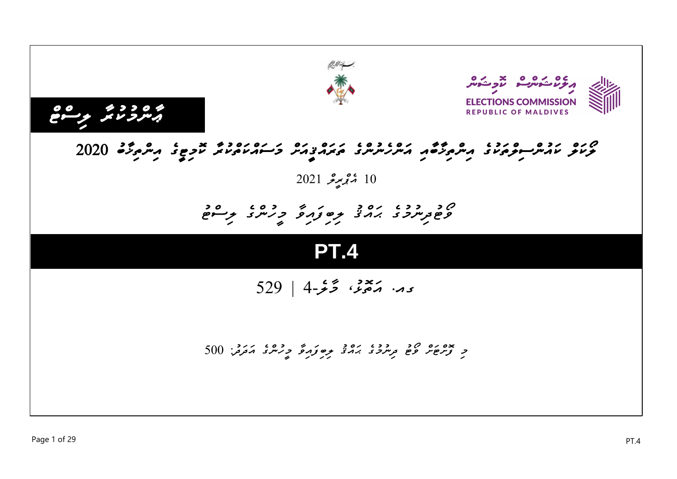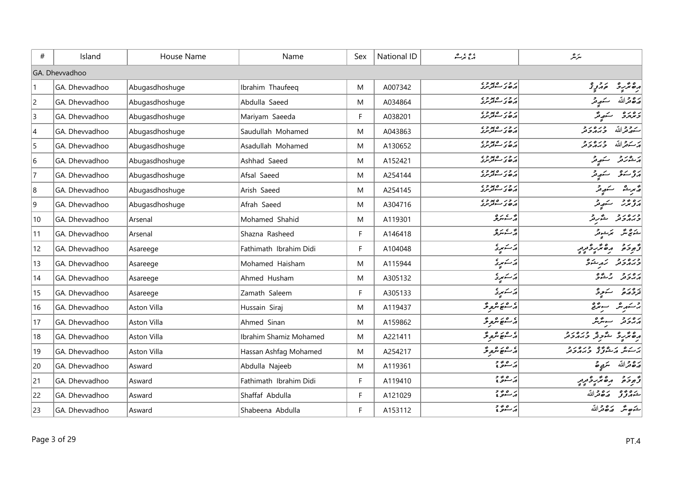| #                        | Island         | House Name     | Name                   | Sex | National ID | ، ه ، بر <u>م</u>                    | ىئرىتر                                                     |
|--------------------------|----------------|----------------|------------------------|-----|-------------|--------------------------------------|------------------------------------------------------------|
|                          | GA. Dhevvadhoo |                |                        |     |             |                                      |                                                            |
| 1                        | GA. Dhevvadhoo | Abugasdhoshuge | Ibrahim Thaufeeq       | M   | A007342     | ر ور ه پو و ،<br>پرې کوستورنون       | ەر ھەترىر <i>3</i><br>ىردىر ئ                              |
| $\overline{2}$           | GA. Dhevvadhoo | Abugasdhoshuge | Abdulla Saeed          | M   | A034864     | ر ور ه پود ،<br>پر <i>ه</i> کامتر در | ەھىراللە                                                   |
| 3                        | GA. Dhevvadhoo | Abugasdhoshuge | Mariyam Saeeda         | F   | A038201     | ر ور ره پود  ،<br>پرې کوتر لر        | ر ه ر ه<br><del>و</del> بربرگر<br>ستهرتر                   |
| $\overline{\mathcal{L}}$ | GA. Dhevvadhoo | Abugasdhoshuge | Saudullah Mohamed      | M   | A043863     | ر و ر ه پو و ،<br>پرې کوتر دی        | بحصر تعرالله<br>و ره ر و<br><i>د ب</i> رگرفر               |
| 5                        | GA. Dhevvadhoo | Abugasdhoshuge | Asadullah Mohamed      | M   | A130652     | ر و ر ۔ ه پو و ،<br>پرې کا سافرمزی   | و ر ه ر د<br>تر پر تر تر<br>مركعترالله                     |
| 6                        | GA. Dhevvadhoo | Abugasdhoshuge | Ashhad Saeed           | M   | A152421     | ر ور ه پود ،<br>پرې کوترنزي          | پرےرو سکھاتھ                                               |
| $\overline{7}$           | GA. Dhevvadhoo | Abugasdhoshuge | Afsal Saeed            | M   | A254144     | ر ور ره پود  ،<br>پرې کوتر لر        | رە بەھ سەمەتر                                              |
| 8                        | GA. Dhevvadhoo | Abugasdhoshuge | Arish Saeed            | M   | A254145     | ر و ر ه پو و ،<br>پرې کورنور         | ړېر شه د شهر                                               |
| $ 9\rangle$              | GA. Dhevvadhoo | Abugasdhoshuge | Afrah Saeed            | M   | A304716     | ر و ر ه پو و ،<br>پرې کوستورنور      | پره پور ستهدار                                             |
| 10                       | GA. Dhevvadhoo | Arsenal        | Mohamed Shahid         | M   | A119301     | ۇ سەيىرو                             | وره رو شرور                                                |
| 11                       | GA. Dhevvadhoo | Arsenal        | Shazna Rasheed         | F   | A146418     | ۇ سەيىرى                             | لشكافه كمراكب مركب والمراكب                                |
| 12                       | GA. Dhevvadhoo | Asareege       | Fathimath Ibrahim Didi | F   | A104048     | ە سەئىرى                             | توجده مره تر دورد                                          |
| 13                       | GA. Dhevvadhoo | Asareege       | Mohamed Haisham        | M   | A115944     | ېز سەئىي <sub>د</sub> ى<br>ئ         | ورەرو ئەيدە                                                |
| 14                       | GA. Dhevvadhoo | Asareege       | Ahmed Husham           | M   | A305132     | ېز سەئىي <sub>د</sub> ى<br>ئە        | رەر د دەۋ                                                  |
| 15                       | GA. Dhevvadhoo | Asareege       | Zamath Saleem          | F   | A305133     | ە ئەسكە ئىرى                         | زەرە سەرو                                                  |
| 16                       | GA. Dhevvadhoo | Aston Villa    | Hussain Siraj          | M   | A119437     | ى مەھ ئىر <sub>ىم</sub> ئە           | جرست <sub>و</sub> پىر سەنترق                               |
| 17                       | GA. Dhevvadhoo | Aston Villa    | Ahmed Sinan            | M   | A159862     | ى مەھ ئىر <sub>ى</sub> ر ئى          | رەرد سەشرىش                                                |
| 18                       | GA. Dhevvadhoo | Aston Villa    | Ibrahim Shamiz Mohamed | M   | A221411     | ى مەھ ئىر <sub>ى</sub> ر ئى          | ړەپر په شونر دېرمار                                        |
| 19                       | GA. Dhevvadhoo | Aston Villa    | Hassan Ashfag Mohamed  | M   | A254217     | ى مەھ ئىرى ئى                        | ر کامل کا شوتی اور در دارد.<br>بر کامل کاملاتی اور در دارد |
| 20                       | GA. Dhevvadhoo | Asward         | Abdulla Najeeb         | M   | A119361     | ر ۱۶۵ و<br>مرگسونۍ                   | پرځتمرالله سرموځ                                           |
| 21                       | GA. Dhevvadhoo | Asward         | Fathimath Ibrahim Didi | F   | A119410     | ىر ھەمچ د                            | ە ئەگرىر توپىر<br>رەڭگە ئە<br>وٌجوحهُ                      |
| 22                       | GA. Dhevvadhoo | Asward         | Shaffaf Abdulla        | F   | A121029     | رمشود                                | شەھ بۇ تۈ<br>برصرالله                                      |
| 23                       | GA. Dhevvadhoo | Asward         | Shabeena Abdulla       | F   | A153112     | رمشود                                | شَمْصِتْر مَهْ قَدْاللّه                                   |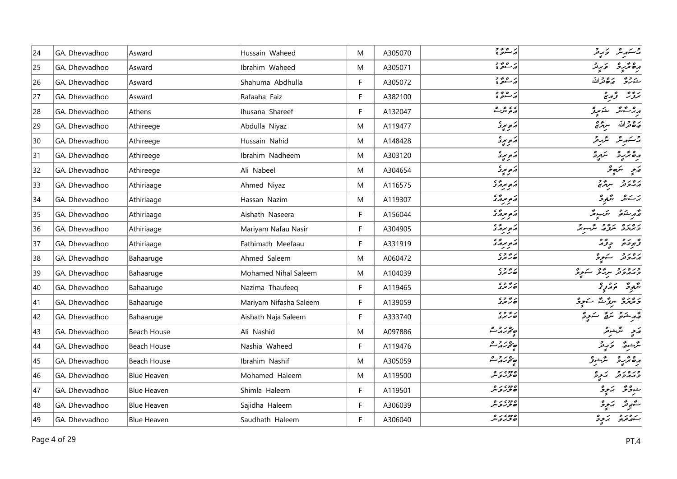| 24 | GA. Dhevvadhoo | Asward             | Hussain Waheed         | M  | A305070 | برع ويح                                                      | برسكر مركز وكرير                                                                                                                               |
|----|----------------|--------------------|------------------------|----|---------|--------------------------------------------------------------|------------------------------------------------------------------------------------------------------------------------------------------------|
| 25 | GA. Dhevvadhoo | Asward             | Ibrahim Waheed         | M  | A305071 | بر عروبه                                                     | دەنزرو كەبىر                                                                                                                                   |
| 26 | GA. Dhevvadhoo | Asward             | Shahuma Abdhulla       | F  | A305072 | برعيود                                                       | شەرىخ<br>ەھىراللە                                                                                                                              |
| 27 | GA. Dhevvadhoo | Asward             | Rafaaha Faiz           | F  | A382100 | ىر 2 ئەر                                                     | پروژ و و پر چ                                                                                                                                  |
| 28 | GA. Dhevvadhoo | Athens             | Ihusana Shareef        | F  | A132047 | ء ۽ مرے                                                      | ەر ئەسىسى ھەمرى<br>م                                                                                                                           |
| 29 | GA. Dhevvadhoo | Athireege          | Abdulla Niyaz          | M  | A119477 | لهَ حو مبری                                                  | سرتريح<br>ەھىراللە                                                                                                                             |
| 30 | GA. Dhevvadhoo | Athireege          | Hussain Nahid          | M  | A148428 | لأحومونكه                                                    | جاسكويلا الكريرة                                                                                                                               |
| 31 | GA. Dhevvadhoo | Athireege          | Ibrahim Nadheem        | M  | A303120 | ړ<br>مرموسونه                                                | وه پر د سکوری                                                                                                                                  |
| 32 | GA. Dhevvadhoo | Athireege          | Ali Nabeel             | M  | A304654 | <br>  د حو مو د                                              | $\begin{array}{cc} \mathcal{G}_{\mathcal{B}} & \mathcal{G}_{\mathcal{B}} \\ \mathcal{G}_{\mathcal{B}} & \mathcal{G}_{\mathcal{B}} \end{array}$ |
| 33 | GA. Dhevvadhoo | Athiriaage         | Ahmed Niyaz            | M  | A116575 | ر<br>موسمبر <sup>ی</sup>                                     | پروژو<br>سرپر                                                                                                                                  |
| 34 | GA. Dhevvadhoo | Athiriaage         | Hassan Nazim           | M  | A119307 | <br>  موسر مړی                                               | برسەش سىھوقە                                                                                                                                   |
| 35 | GA. Dhevvadhoo | Athiriaage         | Aishath Naseera        | F  | A156044 | $\overline{\mathcal{E}}$                                     | لأرشكم الكرسولا                                                                                                                                |
| 36 | GA. Dhevvadhoo | Athiriaage         | Mariyam Nafau Nasir    | F  | A304905 | $\left  \begin{array}{c} a & b \\ c & d \end{array} \right $ | رەرە بەردە شرىد                                                                                                                                |
| 37 | GA. Dhevvadhoo | Athiriaage         | Fathimath Meefaau      | F  | A331919 | ر<br>مهمو مرمز د                                             | ومودة ووم                                                                                                                                      |
| 38 | GA. Dhevvadhoo | Bahaaruge          | Ahmed Saleem           | M  | A060472 | ر و د ،<br>ن <i>ه ر</i> بو ،                                 | رەرو سەرو                                                                                                                                      |
| 39 | GA. Dhevvadhoo | Bahaaruge          | Mohamed Nihal Saleem   | M  | A104039 | ر پر و ،<br>ن <i>ن</i> تر د                                  | ويرور د سرد و سود.<br>ديرورد سرد سود.<br>سمود مهردٍ                                                                                            |
| 40 | GA. Dhevvadhoo | Bahaaruge          | Nazima Thaufeeq        | F  | A119465 | ر پر و ،<br>ن <i>خ</i> تر د                                  |                                                                                                                                                |
| 41 | GA. Dhevvadhoo | Bahaaruge          | Mariyam Nifasha Saleem | F  | A139059 | ر پر و ،<br>ن <i>ن</i> تر د                                  | رەرە بېرتىش ئېرو                                                                                                                               |
| 42 | GA. Dhevvadhoo | Bahaaruge          | Aishath Naja Saleem    | F. | A333740 | ر پر و ،<br>ن <i>ن تر</i> بر                                 | و درو دو .<br>مهر شوه مترقع سکوچ                                                                                                               |
| 43 | GA. Dhevvadhoo | <b>Beach House</b> | Ali Nashid             | M  | A097886 | 27280                                                        | ر<br>م <sup>ن</sup> و مگرشونگر                                                                                                                 |
| 44 | GA. Dhevvadhoo | <b>Beach House</b> | Nashia Waheed          | F  | A119476 | $\frac{1}{2}$                                                |                                                                                                                                                |
| 45 | GA. Dhevvadhoo | <b>Beach House</b> | Ibrahim Nashif         | M  | A305059 | په محر پر م                                                  |                                                                                                                                                |
| 46 | GA. Dhevvadhoo | <b>Blue Heaven</b> | Mohamed Haleem         | M  | A119500 | ه دو، ر ه<br><i>ه ور</i> و س                                 | وره دو بروه<br>در مدد بروه                                                                                                                     |
| 47 | GA. Dhevvadhoo | <b>Blue Heaven</b> | Shimla Haleem          | F  | A119501 | ه دد ، ر ه<br><i>ه نور و</i> س                               | خرو د کار کرد و د                                                                                                                              |
| 48 | GA. Dhevvadhoo | <b>Blue Heaven</b> | Sajidha Haleem         | F  | A306039 | ه دو ، ر ه<br><i>ه و ر ه</i> س                               | ستَّمَعِ تَدُّ<br>برَجِرْ                                                                                                                      |
| 49 | GA. Dhevvadhoo | <b>Blue Heaven</b> | Saudhath Haleem        | F  | A306040 | ه دو پر ه<br><i>ه محر پ</i> ر ش                              | رورو پروژ                                                                                                                                      |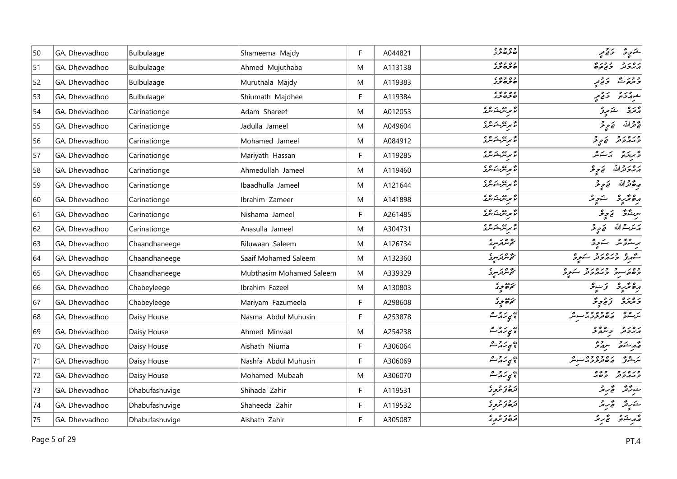| 50 | GA. Dhevvadhoo | Bulbulaage     | Shameema Majdy           | F  | A044821 | د ه د د »<br>مه نور                        | شَرَوٍ دَ وَ قَرِيرٍ                        |
|----|----------------|----------------|--------------------------|----|---------|--------------------------------------------|---------------------------------------------|
| 51 | GA. Dhevvadhoo | Bulbulaage     | Ahmed Mujuthaba          | M  | A113138 | د ه د د »<br>مه نور                        | ره رو دوره<br>مدرس رق                       |
| 52 | GA. Dhevvadhoo | Bulbulaage     | Muruthala Majdy          | M  | A119383 | د ه د د »<br>صوصور                         | و ور به د وړ                                |
| 53 | GA. Dhevvadhoo | Bulbulaage     | Shiumath Majdhee         | F  | A119384 | وه و د »<br>م <i>ه و ه</i> تو <sub>ک</sub> |                                             |
| 54 | GA. Dhevvadhoo | Carinationge   | Adam Shareef             | M  | A012053 | تذ بر منز منظمة منز ك                      | پر ده شکړو کل                               |
| 55 | GA. Dhevvadhoo | Carinationge   | Jadulla Jameel           | M  | A049604 | تذ بر ينزيك عربي                           | قَرْمَدْاللّه قَوْمِرْ                      |
| 56 | GA. Dhevvadhoo | Carinationge   | Mohamed Jameel           | M  | A084912 | م <sup>م</sup> ىر ئىزىغىز مىرى<br>م        | ورەرو پەر                                   |
| 57 | GA. Dhevvadhoo | Carinationge   | Mariyath Hassan          | F. | A119285 | تۇبىر تەشەھەر<br>  تۈبىر تىلزىق تىلزى      | قەبرىز برىكە                                |
| 58 | GA. Dhevvadhoo | Carinationge   | Ahmedullah Jameel        | M  | A119460 | تۇبىر تەشكە تەرى                           | برەردالله يحوی                              |
| 59 | GA. Dhevvadhoo | Carinationge   | Ibaadhulla Jameel        | M  | A121644 | تۇبرىئۇيدىكى يې                            | وحَدَّاللَّهُ يَوَدِّرُ                     |
| 60 | GA. Dhevvadhoo | Carinationge   | Ibrahim Zameer           | M  | A141898 | تۇبىر تەرەپ<br>  تۈبىر تىزىدىكى            | رەنزىر ئونز                                 |
| 61 | GA. Dhevvadhoo | Carinationge   | Nishama Jameel           | F  | A261485 | تۇبرىترىش <sub>ى</sub> ر ق                 | سرڪري تج تو پي                              |
| 62 | GA. Dhevvadhoo | Carinationge   | Anasulla Jameel          | M  | A304731 | تۇبرىئۇيدىق يەرە ي<br>  تۈبىرىئورىسىدى     | أَرْ مَرْحَ اللَّهَ ﴾ فَي حِرْ قَرْ         |
| 63 | GA. Dhevvadhoo | Chaandhaneege  | Riluwaan Saleem          | M  | A126734 | ىچە ئىرتى <i>ر ئى</i> رى                   | ىرىشۇش سەردۇ                                |
| 64 | GA. Dhevvadhoo | Chaandhaneege  | Saaif Mohamed Saleem     | M  | A132360 | ىچە ئىرتى <i>ر ئىر</i> ىدى                 | شهرو ورەرو سوچ                              |
| 65 | GA. Dhevvadhoo | Chaandhaneege  | Mubthasim Mohamed Saleem | M  | A339329 | ىچە ئىرتى <i>ر س</i> رى                    |                                             |
| 66 | GA. Dhevvadhoo | Chabeyleege    | Ibrahim Fazeel           | M  | A130803 | ىرى بەر<br>كۆھۈرى                          | رەپرىر زىندۇ                                |
| 67 | GA. Dhevvadhoo | Chabeyleege    | Mariyam Fazumeela        | F  | A298608 | ری دی<br>کوه و د                           | رەرە زېږې                                   |
| 68 | GA. Dhevvadhoo | Daisy House    | Nasma Abdul Muhusin      | F  | A253878 | ۽ س <sub>ج س</sub> ر ۾ شه                  | ر وه د دووووسر<br>سرسری مان فرمزد بر سوس    |
| 69 | GA. Dhevvadhoo | Daisy House    | Ahmed Minvaal            | M  | A254238 | ،<br>پې پېړۍ مش                            | رەرد دەپرى<br>مەردىر دىئى د                 |
| 70 | GA. Dhevvadhoo | Daisy House    | Aishath Niuma            | F  | A306064 | پ <sub>ې مو</sub> ر ه<br>                  | وكرمنكم سروقة                               |
| 71 | GA. Dhevvadhoo | Daisy House    | Nashfa Abdul Muhusin     | F  | A306069 | پ <sub>ې مو</sub> ر ژے                     | ر وه در دو ده ده .<br>س شوتر اړه تر تر تر ب |
| 72 | GA. Dhevvadhoo | Daisy House    | Mohamed Mubaah           | M  | A306070 | ۽ <sub>سمي</sub> ر جر شه                   | כנסנכ כשם<br><i>כג</i> ובנג כ <i>ש</i> ג    |
| 73 | GA. Dhevvadhoo | Dhabufashuvige | Shihada Zahir            | F  | A119531 | در در در پر                                | جرگر گرگر                                   |
| 74 | GA. Dhevvadhoo | Dhabufashuvige | Shaheeda Zahir           | F  | A119532 | ترەۋر جو ئ                                 | پچ په چې<br>ے کمبر مگر<br>پخ                |
| 75 | GA. Dhevvadhoo | Dhabufashuvige | Aishath Zahir            | F. | A305087 | ترەپر دېدى                                 |                                             |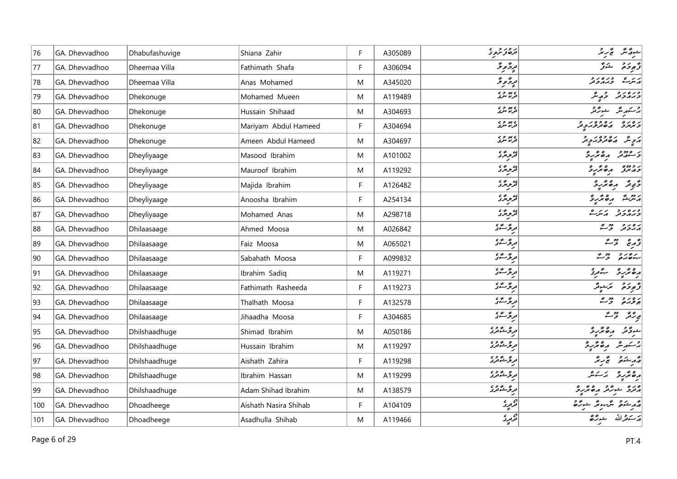| 76           | GA. Dhevvadhoo | Dhabufashuvige | Shiana Zahir          | F  | A305089 | د ور و<br>  تره تو تره د                            | اڪوڻيشر<br>ڪ<br>پچ سر تنگر                              |
|--------------|----------------|----------------|-----------------------|----|---------|-----------------------------------------------------|---------------------------------------------------------|
| 77           | GA. Dhevvadhoo | Dheemaa Villa  | Fathimath Shafa       | F. | A306094 | ىر دۇ بۇ ئۇ                                         | ۇ ب <sub>و</sub> ر د<br>سنترقر                          |
| 78           | GA. Dhevvadhoo | Dheemaa Villa  | Anas Mohamed          | M  | A345020 | ىردگە بۇ گە                                         | ە ئەسرىي<br>و رە ر د<br>تربر تر تر                      |
| 79           | GA. Dhevvadhoo | Dhekonuge      | Mohamed Mueen         | M  | A119489 | ، پر و ،<br>تون سری                                 | و ره ر د<br>تر پر ژنر<br>خږمېر                          |
| 80           | GA. Dhevvadhoo | Dhekonuge      | Hussain Shihaad       | M  | A304693 | ړ پر وړ<br>تر تا متر ک                              | چرىسىم ھەركىتى                                          |
| 81           | GA. Dhevvadhoo | Dhekonuge      | Mariyam Abdul Hameed  | F  | A304694 | ، پر و ،<br>تر <i>نا</i> مری                        | נפנם נפרסניקי                                           |
| 82           | GA. Dhevvadhoo | Dhekonuge      | Ameen Abdul Hameed    | M  | A304697 | ، پر و ،<br>تر <i>با</i> سری                        | مرچ هر مصر دور د                                        |
| 83           | GA. Dhevvadhoo | Dheyliyaage    | Masood Ibrahim        | M  | A101002 | قرمز جری<br>  قرمز جر                               | ב בחבר הפיביב                                           |
| 84           | GA. Dhevvadhoo | Dheyliyaage    | Mauroof Ibrahim       | M  | A119292 | شرم مید بر<br>  قرمز بر د                           | ە ھەترىرى<br>برھ ترىرى<br>ر و دوه<br><del>ز</del> پر تر |
| 85           | GA. Dhevvadhoo | Dheyliyaage    | Majida Ibrahim        | F  | A126482 | شرح مر<br>  قرح مرد                                 | برە ئۆرۈ<br>وٌّمومَّر                                   |
| 86           | GA. Dhevvadhoo | Dheyliyaage    | Anoosha Ibrahim       | F. | A254134 | قر عربر 2<br>  قر عربر ي                            | ەھ ئەرج<br>ىر جۇيىشە                                    |
| 87           | GA. Dhevvadhoo | Dheyliyaage    | Mohamed Anas          | M  | A298718 | شرم میری<br>  قرموردی                               | ىرىئرىشە<br>و ر ه ر د<br><del>ر</del> بر بر تر          |
| 88           | GA. Dhevvadhoo | Dhilaasaage    | Ahmed Moosa           | M  | A026842 | ەر ئۇرىچ ئ                                          | دومع<br>پروژو                                           |
| 89           | GA. Dhevvadhoo | Dhilaasaage    | Faiz Moosa            | M  | A065021 | ىر ئۇسىمى<br>ر                                      | ىر مە<br>  تۇرىج                                        |
| $ 90\rangle$ | GA. Dhevvadhoo | Dhilaasaage    | Sabahath Moosa        | F  | A099832 | مرتز سته ی                                          | بە ئەرەر ھەت                                            |
| 91           | GA. Dhevvadhoo | Dhilaasaage    | Ibrahim Sadiq         | M  | A119271 | ەرگەشىمى                                            | ەرھ ئ <sup>ۆ</sup> ر ۋ<br>سيگورچ                        |
| 92           | GA. Dhevvadhoo | Dhilaasaage    | Fathimath Rasheeda    | F. | A119273 | ىر ئۇرىچى                                           | و مر د<br>تر مور می<br>ىمرشەتگر                         |
| 93           | GA. Dhevvadhoo | Dhilaasaage    | Thalhath Moosa        | F. | A132578 | ەر ئۇرىچ ئ                                          | ر ه ر د<br>ج نربر م<br>دو مح                            |
| 94           | GA. Dhevvadhoo | Dhilaasaage    | Jihaadha Moosa        | F. | A304685 | ىر ئۇرىچ ي                                          | م <sub>و</sub> رژ حقیقی<br>  مر                         |
| 95           | GA. Dhevvadhoo | Dhilshaadhuge  | Shimad Ibrahim        | M  | A050186 | ترتوشگ <sup>ور م</sup>                              | ەھ تررۈ<br>شەرگەر                                       |
| 96           | GA. Dhevvadhoo | Dhilshaadhuge  | Hussain Ibrahim       | M  | A119297 | و ه <sup>و و</sup> ۶<br>ترنوشگ <sup>و</sup> تری     | ەرھ ئۆر ۋ<br>جەسە<br>يەسەر بىر                          |
| 97           | GA. Dhevvadhoo | Dhilshaadhuge  | Aishath Zahira        | F  | A119298 | تر تو شه و <sup>ج</sup><br>تر تو شه تر <sub>ک</sub> | و د منده و سخ رنگر                                      |
| 98           | GA. Dhevvadhoo | Dhilshaadhuge  | Ibrahim Hassan        | M  | A119299 | و 9 ه <sup>و ء</sup>                                | رەپزىر بەسىر                                            |
| 99           | GA. Dhevvadhoo | Dhilshaadhuge  | Adam Shihad Ibrahim   | M  | A138579 | و 9 ه <sup>و ء</sup>                                | أورو جريحه معتربه                                       |
| 100          | GA. Dhevvadhoo | Dhoadheege     | Aishath Nasira Shihab | F  | A104109 | ە<br>تۈتۈرگە                                        | ە ئەس ئەس ئەس ئەرگە                                     |
| 101          | GA. Dhevvadhoo | Dhoadheege     | Asadhulla Shihab      | M  | A119466 | ە<br>تۈتى <sub>رى</sub> گ                           | مَرْ حَمْرَاللّه شَعْرَهُمْ                             |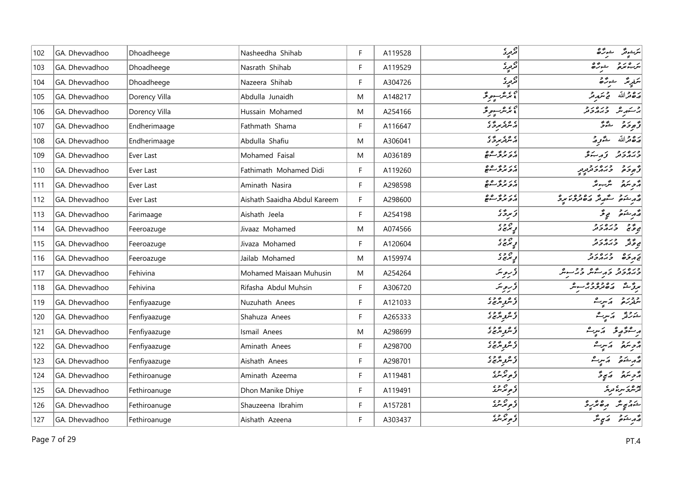| 102 | GA. Dhevvadhoo | Dhoadheege    | Nasheedha Shihab             | F         | A119528 | ترمړ ځ<br>                                         | سَرَڪونَرُ ڪو <i>نَرُ ھُ</i><br>پُرڪونَرُ            |
|-----|----------------|---------------|------------------------------|-----------|---------|----------------------------------------------------|------------------------------------------------------|
| 103 | GA. Dhevvadhoo | Dhoadheege    | Nasrath Shihab               | F.        | A119529 | <br>  قرمړنه                                       | ىر بەير <i>د</i><br>شەرگەھ                           |
| 104 | GA. Dhevvadhoo | Dhoadheege    | Nazeera Shihab               | F         | A304726 | <br>  ترىرى<br>                                    | سندرگاه<br>سندرگاه<br>سَمْدِيَّرَ                    |
| 105 | GA. Dhevvadhoo | Dorency Villa | Abdulla Junaidh              | M         | A148217 | م مگر شرور محمد<br>محمد الحر                       | برە تراللە<br>قے سکہ فر                              |
| 106 | GA. Dhevvadhoo | Dorency Villa | Hussain Mohamed              | M         | A254166 | م محمد شعور محمد<br>مستقب <sup>ر</sup>             | ورەر د<br><i>دى</i> رمەتر<br>جر سەر بىر              |
| 107 | GA. Dhevvadhoo | Endherimaage  | Fathmath Shama               | F         | A116647 | ه وه د وه و<br>مرمر د د                            | ۇ <sub>ب</sub> ودۇ شۇ                                |
| 108 | GA. Dhevvadhoo | Endherimaage  | Abdulla Shafiu               | M         | A306041 | ء عرو بريخ د<br> مرتگر برچ                         | برة قرالله<br>شگورگر                                 |
| 109 | GA. Dhevvadhoo | Ever Last     | Mohamed Faisal               | ${\sf M}$ | A036189 | ى ر و پ <sub>ر ص</sub> ه<br>مركز ك                 | ورەرو تەببۇ                                          |
| 110 | GA. Dhevvadhoo | Ever Last     | Fathimath Mohamed Didi       | F         | A119260 | ى ر و پ <sub>ر</sub> و ه<br>مركز ك                 |                                                      |
| 111 | GA. Dhevvadhoo | Ever Last     | Aminath Nasira               | F         | A298598 | ى ر د پ <sub>ر ص</sub> ه<br>مركز ك                 | ومحر سكو الكراسوسر                                   |
| 112 | GA. Dhevvadhoo | Ever Last     | Aishath Saaidha Abdul Kareem | F.        | A298600 | ى بە جەم ھەھ<br>مەن ئەرگەنسى                       |                                                      |
| 113 | GA. Dhevvadhoo | Farimaage     | Aishath Jeela                | F         | A254198 | ۇ بىردى                                            | دەرىشى بېگ                                           |
| 114 | GA. Dhevvadhoo | Feeroazuge    | Jivaaz Mohamed               | M         | A074566 | وپرې                                               | و گهج<br>في حگ <sup>ي</sup><br>و رە ر د<br>تر پروتر  |
| 115 | GA. Dhevvadhoo | Feeroazuge    | Jivaza Mohamed               | F         | A120604 | د ۶ د ،<br>په ترې د                                | و <i>چې دره د</i> و<br>وغر <i>ونده</i> ونړ           |
| 116 | GA. Dhevvadhoo | Feeroazuge    | Jailab Mohamed               | M         | A159974 | د چ و ۽<br>پوسمبر                                  | ر ده دره در د                                        |
| 117 | GA. Dhevvadhoo | Fehivina      | Mohamed Maisaan Muhusin      | M         | A254264 | ۇرەبىر                                             | ورەرو ر رش وچرىس                                     |
| 118 | GA. Dhevvadhoo | Fehivina      | Rifasha Abdul Muhsin         | F         | A306720 | ۇروپىر                                             | ر ۵۶۵۶۵ د مر<br>پر <i>ه تر تر تر بر</i><br>ابروَّثَہ |
| 119 | GA. Dhevvadhoo | Fenfiyaazuge  | Nuzuhath Anees               | F         | A121033 | ې ه <sub>رو</sub> پر دې<br>ز شر <sub>و</sub> تر پر |                                                      |
| 120 | GA. Dhevvadhoo | Fenfiyaazuge  | Shahuza Anees                | F         | A265333 | ء عروج دي.<br> و سرو پر پي                         | ر در به برسر<br>خورنگر بر برس                        |
| 121 | GA. Dhevvadhoo | Fenfiyaazuge  | Ismail Anees                 | M         | A298699 | ع شروع د <sup>ي</sup> ر<br>د شر <sub>و</sub> شني د | ړ شرگړي کې پر شر                                     |
| 122 | GA. Dhevvadhoo | Fenfiyaazuge  | Aminath Anees                | F         | A298700 | ء عروج دي.<br> و سرو پر پي                         | ۇرچىكى كەسپ                                          |
| 123 | GA. Dhevvadhoo | Fenfiyaazuge  | Aishath Anees                | F         | A298701 | ې هرو پر دې<br>د شرو پر پر                         | وگەرىشقى كەسرىس                                      |
| 124 | GA. Dhevvadhoo | Fethiroanuge  | Aminath Azeema               | F         | A119481 | ې ده و،<br>زمومرس                                  |                                                      |
| 125 | GA. Dhevvadhoo | Fethiroanuge  | Dhon Manike Dhiye            | F         | A119491 | ې د ۵ و ،<br>نومومتر                               | بیر م <i>رکز مربا مر</i> مر<br>قرن <i>در کر</i>      |
| 126 | GA. Dhevvadhoo | Fethiroanuge  | Shauzeena Ibrahim            | F.        | A157281 | ، و دی.<br>زمونتر                                  | شرد پر ره تر د                                       |
| 127 | GA. Dhevvadhoo | Fethiroanuge  | Aishath Azeena               | F         | A303437 | ې ده و،<br>زمومرس                                  | أقرم شكوته الأستجانبكر                               |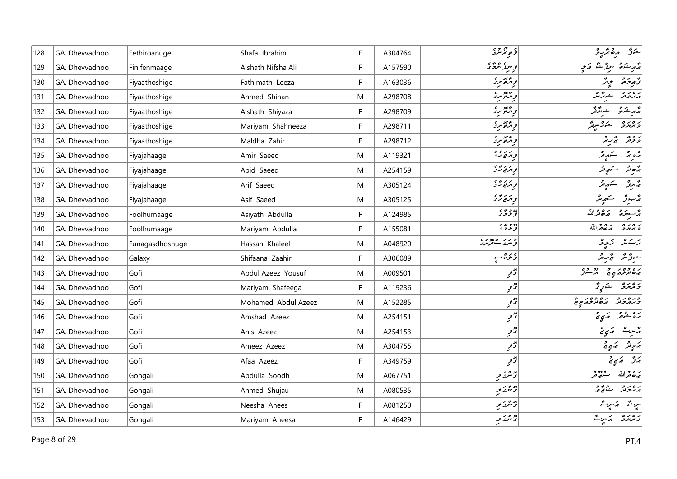| 128 | GA. Dhevvadhoo | Fethiroanuge    | Shafa Ibrahim       | F  | A304764 | ې ده و،<br>نومومنند                      | شۇ رەمخرى                                                       |
|-----|----------------|-----------------|---------------------|----|---------|------------------------------------------|-----------------------------------------------------------------|
| 129 | GA. Dhevvadhoo | Finifenmaage    | Aishath Nifsha Ali  | F. | A157590 | ى <sub>ر سو</sub> يۇ ئىر <sub>قى</sub> ئ | وكرمشكي سروحة الكمح                                             |
| 130 | GA. Dhevvadhoo | Fiyaathoshige   | Fathimath Leeza     | F  | A163036 | و پھر ہ<br>پر مربو                       | مجيفر<br>و مرد<br>اگر مرد م                                     |
| 131 | GA. Dhevvadhoo | Fiyaathoshige   | Ahmed Shihan        | M  | A298708 | و پر پر ۽<br>پر مربوبي                   | بر ه بر د<br>م <i>ر</i> بر <del>د</del> ر<br>ىشە <i>ر تى</i> گر |
| 132 | GA. Dhevvadhoo | Fiyaathoshige   | Aishath Shiyaza     | F. | A298709 | و پر پر<br>تر مربو سر پر                 | شەدگر ئىگر<br>پ <sup>و</sup> مرشوم <sup>9</sup>                 |
| 133 | GA. Dhevvadhoo | Fiyaathoshige   | Mariyam Shahneeza   | F  | A298711 | و پر پر ۽<br>پر مربو پري                 | رەرە شەرىبەتە                                                   |
| 134 | GA. Dhevvadhoo | Fiyaathoshige   | Maldha Zahir        | F  | A298712 | و پژ <sub>یخ مر</sub> با<br>تر پژه مرد   | دَوْنَزْ   تَحْرِيرْ                                            |
| 135 | GA. Dhevvadhoo | Fiyajahaage     | Amir Saeed          | M  | A119321 | اوپردیز                                  | ە يەر ئىم يېزىقى<br>مەر بىر                                     |
| 136 | GA. Dhevvadhoo | Fiyajahaage     | Abid Saeed          | M  | A254159 | و پر پر پر پر                            | ולסה הוקלה                                                      |
| 137 | GA. Dhevvadhoo | Fiyajahaage     | Arif Saeed          | M  | A305124 | و پر پر پر                               | ومجروهم<br>سەمەقر                                               |
| 138 | GA. Dhevvadhoo | Fiyajahaage     | Asif Saeed          | M  | A305125 | و پر پر پر پر                            | ۇسۇ<br>سکھ ٍ قر                                                 |
| 139 | GA. Dhevvadhoo | Foolhumaage     | Asiyath Abdulla     | F  | A124985 | دد و بر ر<br>تو تر تر ر                  | وسبورة وكافرالله                                                |
| 140 | GA. Dhevvadhoo | Foolhumaage     | Mariyam Abdulla     | F. | A155081 | دد و بر ر<br>تو نر <del>و</del> ر        | ر ه بر ه<br><del>د</del> بربرگ<br>صقعرالله                      |
| 141 | GA. Dhevvadhoo | Funagasdhoshuge | Hassan Khaleel      | M  | A048920 | و پر پر و پر و ۽<br>تو سرپر سونٽريري     | زىستەش   زىرىچ                                                  |
| 142 | GA. Dhevvadhoo | Galaxy          | Shifaana Zaahir     | F  | A306089 | ائحوثر<br>ائحونزیہ                       | ڪوگر مگر جي <i>پر</i>                                           |
| 143 | GA. Dhevvadhoo | Gofi            | Abdul Azeez Yousuf  | M  | A009501 | بيحمر                                    | גם כם גדי כבר כם<br>גישו <i>ניק</i> ות מדי כבר כבר              |
| 144 | GA. Dhevvadhoo | Gofi            | Mariyam Shafeega    | F. | A119236 | تخمخ                                     | دەرە شەرِ                                                       |
| 145 | GA. Dhevvadhoo | Gofi            | Mohamed Abdul Azeez | M  | A152285 | تخمخ                                     |                                                                 |
| 146 | GA. Dhevvadhoo | Gofi            | Amshad Azeez        | M  | A254151 | پو<br>ئىم                                | رەشقى ئەم ئە                                                    |
| 147 | GA. Dhevvadhoo | Gofi            | Anis Azeez          | M  | A254153 | بيحمر                                    | أمر المستحققة المستحدثة                                         |
| 148 | GA. Dhevvadhoo | Gofi            | Ameez Azeez         | M  | A304755 | تخويج                                    | أتروفر<br>ەكتى تى                                               |
| 149 | GA. Dhevvadhoo | Gofi            | Afaa Azeez          | F  | A349759 | تخمخ                                     | $\begin{array}{cc} 2 & 2 & 3 \\ 6 & 2 & 3 \end{array}$          |
| 150 | GA. Dhevvadhoo | Gongali         | Abdulla Soodh       | M  | A067751 | لحرمرمر                                  | برە واللّه<br>ر دو د<br>سوړ تعر                                 |
| 151 | GA. Dhevvadhoo | Gongali         | Ahmed Shujau        | M  | A080535 | لحرحرىمو                                 | ره ر د در د<br>پربرو د مشوی                                     |
| 152 | GA. Dhevvadhoo | Gongali         | Neesha Anees        | F. | A081250 | پره پر<br> پسمه م                        | سريند كالكرسي                                                   |
| 153 | GA. Dhevvadhoo | Gongali         | Mariyam Aneesa      | F. | A146429 | پره پر<br> پسمدې                         | وبروره بمبرث                                                    |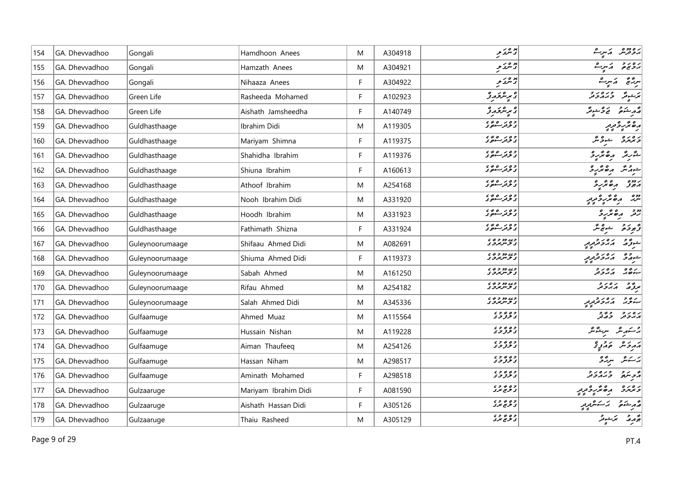| 154 | GA. Dhevvadhoo  | Gongali         | Hamdhoon Anees       | M           | A304918 | پر 2 پر                                                                           | پرورو میں کہ کہ میں ہے                                               |
|-----|-----------------|-----------------|----------------------|-------------|---------|-----------------------------------------------------------------------------------|----------------------------------------------------------------------|
| 155 | GA. Dheyyadhoo  | Gongali         | Hamzath Anees        | M           | A304921 | بي شريخ محر                                                                       | رەرد رسرے                                                            |
| 156 | GA. Dhevvadhoo  | Gongali         | Nihaaza Anees        | F           | A304922 | ابره بر                                                                           | سرجيح أكماس وسنحر                                                    |
| 157 | GA. Dhevvadhoo  | Green Life      | Rasheeda Mohamed     | F           | A102923 | <sup>ە</sup> برى <i>ترىخىر</i> ۋ                                                  | و رە ر د<br><i>د ب</i> ەر تر<br>ر<br>مرّىنىدىگر                      |
| 158 | GA. Dhevvadhoo  | Green Life      | Aishath Jamsheedha   | F           | A140749 | ە <sub>مو</sub> يۇ <sub>م</sub> رۇ                                                | مەرىشىمى ئىمى شىقر                                                   |
| 159 | GA. Dhevvadhoo  | Guldhasthaage   | Ibrahim Didi         | M           | A119305 | و ه بر ره پو ،<br>د نژوگرستهو د                                                   | ېر ھەترىر 9 دىردىر<br>ر                                              |
| 160 | GA. Dhevvadhoo  | Guldhasthaage   | Mariyam Shimna       | F           | A119375 | و ه بر _ه پ <sub>ر</sub> ب <sub>ا</sub><br>بر <del>ت</del> رتر سوی                | ر ہ ر ہ<br><del>ر</del> بربرو<br>ىشەۋىگر                             |
| 161 | GA. Dhevvadhoo  | Guldhasthaage   | Shahidha Ibrahim     | $\mathsf F$ | A119376 | و ه بر _ه پر پر<br>بر موتور سعومی                                                 | ەھ ئەرج<br>شەر تەر                                                   |
| 162 | GA. Dhevvadhoo  | Guldhasthaage   | Shiuna Ibrahim       | F           | A160613 | و ه بر _ه پ <sub>ر</sub> ب <sub>ا</sub><br>بر <del>م</del> رتو <sub>ر س</sub> وی  | شەرگە ئىگر<br>ەرھەئرىرى<br>ر                                         |
| 163 | GA. Dhevvadhoo  | Guldhasthaage   | Athoof Ibrahim       | M           | A254168 | و ه بر _ه پ <sub>ر</sub> ب <sub>ا</sub><br>بر <del>م</del> رتو <sub>ر مس</sub> وی | ەھترىرى<br>ر دو ه<br>در جو تو                                        |
| 164 | GA. Dhevvadhoo  | Guldhasthaage   | Nooh Ibrahim Didi    | M           | A331920 | و ه بر ره پو ،<br>د نوترسونو د                                                    | ر جه تر پر ورور<br>د ځ تر و تر تر<br>مترم                            |
| 165 | GA. Dhevvadhoo  | Guldhasthaage   | Hoodh Ibrahim        | M           | A331923 | و ه بر _ه پر و<br>د نوتر سعو د                                                    | בכ הפית פ                                                            |
| 166 | GA. Dhevvadhoo  | Guldhasthaage   | Fathimath Shizna     | F           | A331924 | و ه بر _ه پر بر<br>بر موتور سوه بر                                                | و په پر د<br>ے بچے مگر                                               |
| 167 | GA. Dhevvadhoo  | Guleynoorumaage | Shifaau Ahmed Didi   | M           | A082691 | و در و و پر د<br>د موسوپور د                                                      | ر ه ر د<br>پر پر ترتوپو<br>شوتر و گر                                 |
| 168 | GA. Dhevvadhoo  | Guleynoorumaage | Shiuma Ahmed Didi    | F           | A119373 | و در و و پر د<br>د موسربور د                                                      | شورچ گر<br>بر ٥ پر ۶<br>د بر <del>و</del> تر تر تر                   |
| 169 | GA. Dhevvadhoo  | Guleynoorumaage | Sabah Ahmed          | M           | A161250 | و در و و بو د<br>د موس پور د                                                      | بەۋە<br>بر ه بر و<br>م <i>ر</i> گر <del>ف</del> ر                    |
| 170 | GA. Dhevvadhoo  | Guleynoorumaage | Rifau Ahmed          | M           | A254182 | و در و و پر د<br>د موسربور د                                                      | برؤثم يمكرونر                                                        |
| 171 | GA. Dhevvadhoo  | Guleynoorumaage | Salah Ahmed Didi     | M           | A345336 | وړ، دو و د ،<br>د نوسربور د                                                       | ىبە ئۇر<br>ر ٥ ر ۶ تورتو<br>درگرفترنو                                |
| 172 | GA. Dhevvadhoo  | Gulfaamuge      | Ahmed Muaz           | M           | A115564 | وه پر و ،<br>د <del>و</del> تو <del>و</del> د                                     | ره رحم در در<br>مرکز حمض                                             |
| 173 | GA. Dhevvadhoo  | Gulfaamuge      | Hussain Nishan       | M           | A119228 | وه ۶ و ۲<br>کاموگر تر ک                                                           | برسكريش الريكاش                                                      |
| 174 | GA. Dhevvadhoo  | Gulfaamuge      | Aiman Thaufeeq       | M           | A254126 | و ه و و د<br>د ترتو تر د                                                          | لەردىگە<br>پر و <sub>چ</sub>                                         |
| 175 | GA. Dhevvadhoo  | Gulfaamuge      | Hassan Niham         | M           | A298517 | د ه و و ء<br>د ترتو تر د                                                          | ىر كەش بىرىگە 3                                                      |
| 176 | GA. Dhevvadhoo  | Gulfaamuge      | Aminath Mohamed      | F           | A298518 | د ه و و ،<br>د ترتو تر د                                                          | و رە ر د<br><i>د ب</i> رگرىز<br>ړ د سره په                           |
| 177 | GA. Dhevvadhoo  | Gulzaaruge      | Mariyam Ibrahim Didi | F           | A081590 | و ه پر و ،<br>د نومځ مرد                                                          | ر ه ر ه<br><del>د</del> بربرگ<br>ە ھەترىر 3 دىرىر<br>ر               |
| 178 | lGA. Dhevvadhoo | Gulzaaruge      | Aishath Hassan Didi  | F           | A305126 | و ه پر و ء<br>ۍ څريخ بوري                                                         | پ <sup>و</sup> پر شوې <sub>و</sub><br>ر<br>بر که مر <sub>کو</sub> بر |
| 179 | GA. Dhevvadhoo  | Gulzaaruge      | Thaiu Rasheed        | M           | A305129 | و ه پر و ء<br><sub>ک</sub> محربچ بمر <sub>ک</sub>                                 | جمهرة المخاطبون                                                      |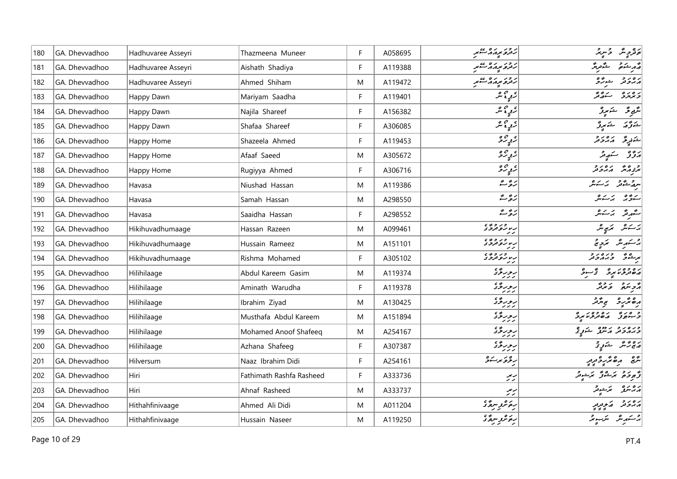| 180 | GA. Dhevvadhoo | Hadhuvaree Asseyri | Thazmeena Muneer         | F.          | A058695 | ر ور پره ش <sup>م</sup> ېر                       | ئۇروپىگە كەسپىگە                                     |
|-----|----------------|--------------------|--------------------------|-------------|---------|--------------------------------------------------|------------------------------------------------------|
| 181 | GA. Dhevvadhoo | Hadhuvaree Asseyri | Aishath Shadiya          | F           | A119388 | ر ور بره ۵۰<br>رتوه مرد کر مشمر                  | و<br>وگهرڪو ڪورگر                                    |
| 182 | GA. Dhevvadhoo | Hadhuvaree Asseyri | Ahmed Shiham             | M           | A119472 | ر ور به ده مه<br>رتوه برد د مسکن                 | ر ه ر د<br>م.ر و تر<br>شەرگە ئ                       |
| 183 | GA. Dhevvadhoo | Happy Dawn         | Mariyam Saadha           | F           | A119401 | لتجويج مثنه                                      | ر ه ر ه<br><del>و</del> بربرو<br>سەھەتىر             |
| 184 | GA. Dhevvadhoo | Happy Dawn         | Najila Shareef           | F           | A156382 | ې په ص <u>م</u> ر                                | شھوقت سکھرو                                          |
| 185 | GA. Dhevvadhoo | Happy Dawn         | Shafaa Shareef           | F.          | A306085 | تزريفر                                           | شَرَرَّ شَهْرِرْ                                     |
| 186 | GA. Dhevvadhoo | Happy Home         | Shazeela Ahmed           | F.          | A119453 | تروحو                                            | شَرَفرٍ قُر الْمَرْكَرَ قُرْ                         |
| 187 | GA. Dhevvadhoo | Happy Home         | Afaaf Saeed              | M           | A305672 | ترويحو                                           | روه ستهد                                             |
| 188 | GA. Dhevvadhoo | Happy Home         | Rugiyya Ahmed            | F.          | A306716 | ترويحو                                           | و ەپ رەرو<br>مرتىمەدگر مەرجىر                        |
| 189 | GA. Dhevvadhoo | Havasa             | Niushad Hassan           | M           | A119386 | ئەۋشە                                            | سەر ئىشقى ئەسكىش                                     |
| 190 | GA. Dhevvadhoo | Havasa             | Samah Hassan             | M           | A298550 | ر پۇشە                                           | سەۋەر بەسەھ                                          |
| 191 | GA. Dhevvadhoo | Havasa             | Saaidha Hassan           | F           | A298552 | ترة تەشە                                         | گەرنگە كەسكىلى                                       |
| 192 | GA. Dhevvadhoo | Hikihuvadhumaage   | Hassan Razeen            | M           | A099461 | ار بر در در در در در این<br>بر بر بر بر در در در | ىرىكىش بىرىپەش                                       |
| 193 | GA. Dhevvadhoo | Hikihuvadhumaage   | Hussain Rameez           | M           | A151101 | ر ر د د د د ه<br>ر ر ر د ترو د                   | برسكر مركبه مركبه                                    |
| 194 | GA. Dhevvadhoo | Hikihuvadhumaage   | Rishma Mohamed           | F           | A305102 | ر ر و د و د ،<br>ر د ر و ترو د                   | برشوش ورەرو                                          |
| 195 | GA. Dhevvadhoo | Hilihilaage        | Abdul Kareem Gasim       | M           | A119374 | ر ور ژُءَ<br>ر                                   | رە دەرىرە ئ <sup>ې</sup> رگ                          |
| 196 | GA. Dhevvadhoo | Hilihilaage        | Aminath Warudha          | F           | A119378 | ار ورځۍ<br><u>در</u>                             | أأدوسكم وتدفر                                        |
| 197 | GA. Dhevvadhoo | Hilihilaage        | Ibrahim Ziyad            | M           | A130425 | ار ورځۍ<br><u>ريز ر</u>                          | ەھترىرى بى <sub>ر</sub> تىر                          |
| 198 | GA. Dhevvadhoo | Hilihilaage        | Musthafa Abdul Kareem    | M           | A151894 | ار ورځۍ<br><u>ر</u>                              | 2020 102012                                          |
| 199 | GA. Dhevvadhoo | Hilihilaage        | Mohamed Anoof Shafeeq    | M           | A254167 | ر و ر و ؟<br>ر د ر و د                           | وره ر و بر دوه<br><i>و پر پر و برس پر شورٍ ن</i> ح   |
| 200 | GA. Dhevvadhoo | Hilihilaage        | Azhana Shafeeg           | $\mathsf F$ | A307387 | ر و ر و ؟<br>ر د ر                               | رەپەر خىرچ                                           |
| 201 | GA. Dhevvadhoo | Hilversum          | Naaz Ibrahim Didi        | F           | A254161 | ر ۋە ئەرىئەۋ                                     | ا پره د <i>ه پر د</i> وږد<br>سره د <i>ه پر د</i> وږد |
| 202 | GA. Dhevvadhoo | Hiri               | Fathimath Rashfa Rasheed | F           | A333736 | رىر<br>ر                                         | ۇۋەق ئەشۇ ئەسە                                       |
| 203 | GA. Dhevvadhoo | Hiri               | Ahnaf Rasheed            | M           | A333737 | رىر                                              | رەپرو ئەسىر<br>مەسىر                                 |
| 204 | GA. Dhevvadhoo | Hithahfinivaage    | Ahmed Ali Didi           | M           | A011204 | ىرە ئىروپىر <i>ۇ</i> ئ                           | رور در مروربر<br> پرچونز   مروربر                    |
| 205 | GA. Dhevvadhoo | Hithahfinivaage    | Hussain Naseer           | M           | A119250 | رۇشۇر بىرقە ئە                                   | بر کے مر مگر ہے کہ                                   |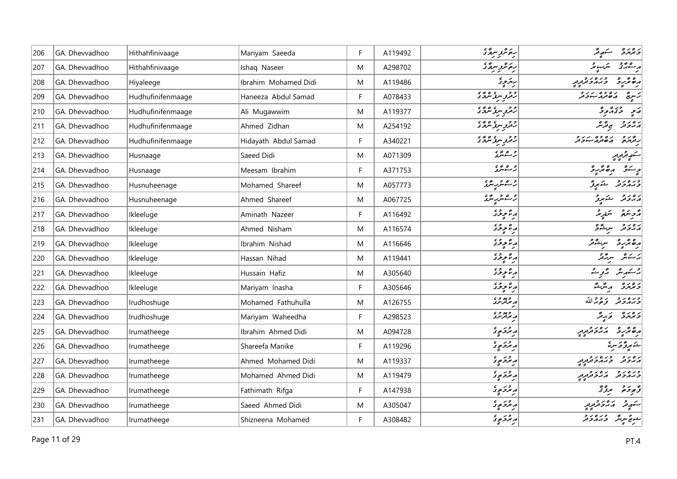| 206 | GA. Dhevvadhoo | Hithahfinivaage   | Mariyam Saeeda       | F           | A119492 | رەڭرىر سرەڭ<br>ر                    | ئەنگەرى<br>سَنهرِ مَدَّ                    |
|-----|----------------|-------------------|----------------------|-------------|---------|-------------------------------------|--------------------------------------------|
| 207 | GA. Dhevvadhoo | Hithahfinivaage   | Ishaq Naseer         | M           | A298702 | رە ئ <sub>ىر ب</sub> ورى<br>ر       | أرسفهمج فتستر يتمر                         |
| 208 | GA. Dhevvadhoo | Hiyaleege         | Ibrahim Mohamed Didi | M           | A119486 | لبرزوج                              |                                            |
| 209 | GA. Dhevvadhoo | Hudhufinifenmaage | Haneeza Abdul Samad  | F           | A078433 | ا 25 <sub>05 مو</sub> رو 1950       | ره وه بر رو<br>پره توپر جنوبر<br>ئەسرىئى   |
| 210 | GA. Dhevvadhoo | Hudhufinifenmaage | Ali Mugawwim         | M           | A119377 | <sup>32</sup> رو سرو مرگ            | أموس وبره و                                |
| 211 | GA. Dhevvadhoo | Hudhufinifenmaage | Ahmed Zidhan         | M           | A254192 | د د بر مرکز مرکز د                  | رەرد ئ <sub>ىر</sub> ئەھ                   |
| 212 | GA. Dhevvadhoo | Hudhufinifenmaage | Hidayath Abdul Samad | $\mathsf F$ | A340221 | ر د د <sub>و سرد</sub> مرد ،        | גיר גם בס גנב<br>געתם השינג-הכת            |
| 213 | GA. Dhevvadhoo | Husnaage          | Saeed Didi           | M           | A071309 | <sup>ح</sup> سے مئر<br>مر           | سکوپر فرگرفر<br>مستقبل کاری                |
| 214 | GA. Dhevvadhoo | Husnaage          | Meesam Ibrahim       | F           | A371753 | <sup>و</sup> سەپىرى                 | $5\frac{6}{100}$                           |
| 215 | GA. Dhevvadhoo | Husnuheenage      | Mohamed Shareef      | M           | A057773 | ر مەيز <sub>ىر ب</sub> ىرى<br>ئ     | ورەر دېمبرو<br>وردولار شكيرو               |
| 216 | GA. Dhevvadhoo | Husnuheenage      | Ahmed Shareef        | M           | A067725 | ر مەش <sub>رىپ</sub> ىدى<br>ئ       | رەر ئىيرو                                  |
| 217 | GA. Dhevvadhoo | Ikleeluge         | Aminath Nazeer       | F           | A116492 | پر نا پوځ د<br>  پر نا پوځ د        | أأدوسكم أأستفريثه                          |
| 218 | GA. Dhevvadhoo | Ikleeluge         | Ahmed Nisham         | M           | A116574 | دره و ده                            | رەرو سرشۇ                                  |
| 219 | GA. Dhevvadhoo | Ikleeluge         | Ibrahim Nishad       | M           | A116646 | ەر ئەمرىزى<br>س                     | رەترىر ھىرىشىر<br>مەھترى <sub>ر</sub> و س  |
| 220 | GA. Dhevvadhoo | Ikleeluge         | Hassan Nihad         | M           | A119441 | ەر ئۈچۈى<br>س                       | ير کشش سرچمر                               |
| 221 | GA. Dhevvadhoo | Ikleeluge         | Hussain Hafiz        | M           | A305640 | د را د د د ؟<br>ر                   | يز سكر مثر التجريب                         |
| 222 | GA. Dhevvadhoo | Ikleeluge         | Mariyam Inasha       | F           | A305646 | ەر ئامورى<br>بر ئامورى              | و در و مرگزشگا                             |
| 223 | GA. Dhevvadhoo | Irudhoshuge       | Mohamed Fathuhulla   | M           | A126755 | د حيو و ۽<br>م                      | وره رو بروچ الله<br>ح برمرح مر و محمد الله |
| 224 | GA. Dhevvadhoo | Irudhoshuge       | Mariyam Waheedha     | F           | A298523 | <br>  مرتز تر تر د                  | ويواروا التحاريم                           |
| 225 | GA. Dhevvadhoo | Irumatheege       | Ibrahim Ahmed Didi   | M           | A094728 | <br>  دېمرخه موځه                   | גם מיני היו בעיני                          |
| 226 | GA. Dhevvadhoo | Irumatheege       | Shareefa Manike      | F           | A119296 | ېر بر دې<br>بر بر دې                |                                            |
| 227 | GA. Dhevvadhoo | Irumatheege       | Ahmed Mohamed Didi   | M           | A119337 | ק בקי<br>ק בקיביים ב                | גפגב בגםגבתתת                              |
| 228 | GA. Dhevvadhoo | Irumatheege       | Mohamed Ahmed Didi   | M           | A119479 | ېر بر دې<br>بر برد م <sub>و</sub> ر | כנסנפ גפלבקט.<br>כגובט גלכטקט              |
| 229 | GA. Dhevvadhoo | Irumatheege       | Fathimath Rifga      | F           | A147938 | <br>  دېمرخه ه <sub>و</sub> د       | قهوجهم بروتخ                               |
| 230 | GA. Dhevvadhoo | Irumatheege       | Saeed Ahmed Didi     | M           | A305047 | ېر تر دې<br>بر تر دې                |                                            |
| 231 | GA. Dhevvadhoo | Irumatheege       | Shizneena Mohamed    | E           | A308482 | ېر پر دې ده<br>ر                    | شویم سربگر 1979-7<br>شویم سربگر 1985       |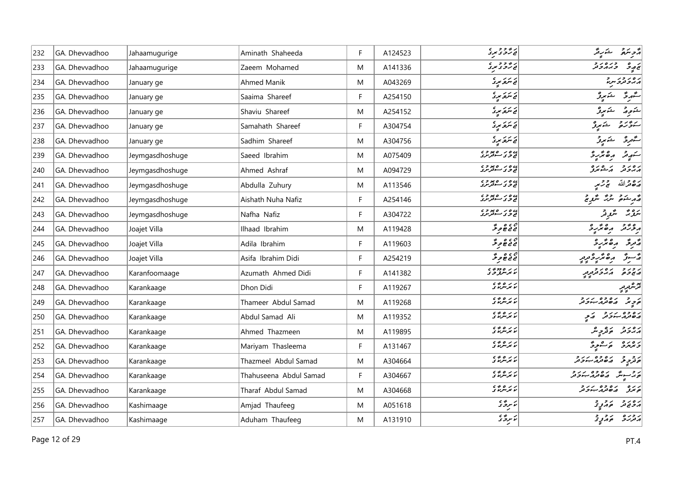| 232 | GA. Dhevvadhoo | Jahaamugurige   | Aminath Shaheeda       | F  | A124523 | پر بر و و ر پر<br>  فنح رس کو سر پر             | أأوسكم المفرقر                                           |
|-----|----------------|-----------------|------------------------|----|---------|-------------------------------------------------|----------------------------------------------------------|
| 233 | GA. Dheyyadhoo | Jahaamugurige   | Zaeem Mohamed          | M  | A141336 | پر بر و و ر پر<br>  فنح رس کر سر پر             | ىئەر<br>و ر ه ر و<br><i>و پر</i> پر <del>و</del> تر      |
| 234 | GA. Dhevvadhoo | January ge      | <b>Ahmed Manik</b>     | M  | A043269 | ئے سَرَعَہ سرِ ئ                                | بر 2 بر 2 بر بر 2<br>هربر <del>5</del> تور س             |
| 235 | GA. Dhevvadhoo | January ge      | Saaima Shareef         | F. | A254150 | ئە ئىرىمە ئىرى <sup>تى</sup>                    | شەرىخ<br>شەمرىژ                                          |
| 236 | GA. Dhevvadhoo | January ge      | Shaviu Shareef         | M  | A254152 | <br>  نے مترک <sub>ھ</sub> ممبری                | شكور<br>شەمرىر                                           |
| 237 | GA. Dhevvadhoo | January ge      | Samahath Shareef       | F  | A304754 | ئے مترکھ سریحہ                                  | ر پر دی <sub> ج</sub><br>شەمرۇ                           |
| 238 | GA. Dhevvadhoo | January ge      | Sadhim Shareef         | M  | A304756 | ئے مترکھ سریحہ                                  | سَّحْدِرْ<br>ے موثر                                      |
| 239 | GA. Dhevvadhoo | Jeymgasdhoshuge | Saeed Ibrahim          | M  | A075409 | دے ہ رے پو و ء<br>فع حرمی مسلومور               | ەھ ترىرى<br>سئەرىتىر                                     |
| 240 | GA. Dhevvadhoo | Jeymgasdhoshuge | Ahmed Ashraf           | M  | A094729 | ۵ ۵ ۵ ر ۵ مو و ۷<br>  انع ن ک کسسونورنور        | پر 2 پر و<br>ېر شه پر ه                                  |
| 241 | GA. Dhevvadhoo | Jeymgasdhoshuge | Abdulla Zuhury         | M  | A113546 | ء ہے دے بو و ء<br>مح و ی سسوفرمری               | وكافرالله<br>پر ج<br>سي شر سمبر                          |
| 242 | GA. Dhevvadhoo | Jeymgasdhoshuge | Aishath Nuha Nafiz     | F. | A254146 | دے ہ رے پو و ء<br>فع حر ي مسلومور               | ۇرىسىمۇ بىرگە ئىگرىنى                                    |
| 243 | GA. Dhevvadhoo | Jeymgasdhoshuge | Nafha Nafiz            | F  | A304722 | ء ہے دے بو و ء<br>فع حرمی مسلومور               | سرویژ<br>سگري فر                                         |
| 244 | GA. Dhevvadhoo | Joajet Villa    | Ilhaad Ibrahim         | M  | A119428 | يُوءَ عَ عِ عَرَ                                | ەھ ترىرو<br>وعزيز                                        |
| 245 | GA. Dhevvadhoo | Joajet Villa    | Adila Ibrahim          | F  | A119603 | <br>  نوع عومر                                  | ړ تر د ه پر د                                            |
| 246 | GA. Dhevvadhoo | Joajet Villa    | Asifa Ibrahim Didi     | F  | A254219 | <br>  خ خ ح ح گ                                 | پ <sup>ر</sup> سرز<br>ە ھ ئەر كەندىر<br>رەھ ئەر كەندى    |
| 247 | GA. Dhevvadhoo | Karanfoomaage   | Azumath Ahmed Didi     | F. | A141382 | ر ر ه دون ،<br>ما برس پی و ی                    | ر و ر و<br>در بح تر ه<br>ر ٥ ر ۶ تورتو<br>در کرتورتو     |
| 248 | GA. Dhevvadhoo | Karankaage      | Dhon Didi              | F. | A119267 | ر ر ه و د ،<br>ما موسود د                       | بو ه<br>  قرىتربو تو                                     |
| 249 | GA. Dhevvadhoo | Karankaage      | Thameer Abdul Samad    | M  | A119268 | ر ر ه و د ،<br>ما موسود د                       | ן כ"ג סיפור ביריק.<br>הפית הסינג היכינ                   |
| 250 | GA. Dhevvadhoo | Karankaage      | Abdul Samad Ali        | M  | A119352 | ر رەپەر<br>مايىرسرىز ي                          | ره وه رر و پر کرم                                        |
| 251 | GA. Dhevvadhoo | Karankaage      | Ahmed Thazmeen         | M  | A119895 | ر ر ه و و ،<br>ما <del>ب</del> رمبر <i>دا</i> د | رەرد رەپر                                                |
| 252 | GA. Dhevvadhoo | Karankaage      | Mariyam Thasleema      | F  | A131467 | ر ر ه و د ،<br>ما <del>ب</del> رس د د           | ر ه ر ه<br><del>ر</del> بربرگ<br>ە ئەسىمىيە ئە           |
| 253 | GA. Dhevvadhoo | Karankaage      | Thazmeel Abdul Samad   | M  | A304664 | ر ر ه و د ،<br>ما بر سرد د                      | ر ٥ ۶ و ٥ ر ر ۶<br>پره تر پر سور تر<br>ر و د<br>حوفرچ څر |
| 254 | GA. Dhevvadhoo | Karankaage      | Thahuseena Abdul Samad | F  | A304667 | ر ر ه و د ،<br>ما مرس د د                       | ر د د سور ده ده در د د<br>می سورش می هارم سورتر          |
| 255 | GA. Dhevvadhoo | Karankaage      | Tharaf Abdul Samad     | M  | A304668 | ر ر ه و و ،<br>ما مورس                          | ره وه رر د<br>پره تر پر ښور تر<br>ر ر ه<br>حو بنرگ       |
| 256 | GA. Dhevvadhoo | Kashimaage      | Amjad Thaufeeg         | M  | A051618 | ر<br>ما مرچ ي                                   | د ه د د د د د د چ<br>  د ح م د م د مړينې                 |
| 257 | GA. Dhevvadhoo | Kashimaage      | Aduham Thaufeeg        | M  | A131910 | ر<br>ما مروکی                                   | ر وره در و د<br>مرمر در مومر                             |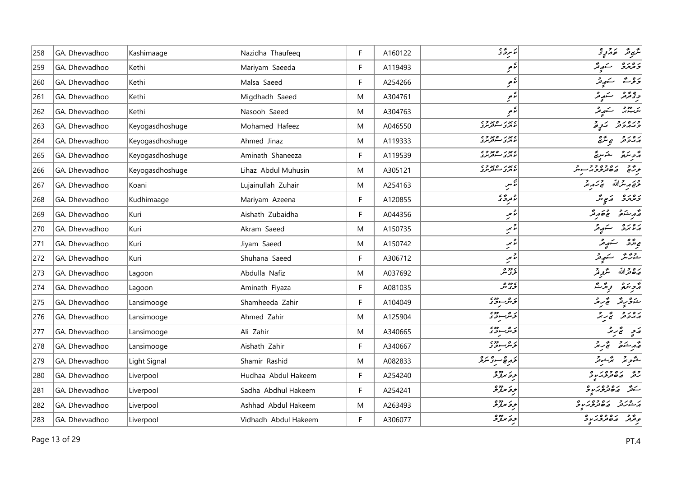| 258 | GA. Dhevvadhoo | Kashimaage      | Nazidha Thaufeeq     | F  | A160122 | ر<br>ما مردگا                               | شجو محمد ويح                                                     |
|-----|----------------|-----------------|----------------------|----|---------|---------------------------------------------|------------------------------------------------------------------|
| 259 | GA. Dhevvadhoo | Kethi           | Mariyam Saeeda       | F  | A119493 | اءً مو                                      | ر ه ر ه<br><del>و</del> بربرو<br>سە پەتتر                        |
| 260 | GA. Dhevvadhoo | Kethi           | Malsa Saeed          | F. | A254266 | اءِ<br>اعو                                  | ى تۇرىش<br>سە پەتر                                               |
| 261 | GA. Dhevvadhoo | Kethi           | Migdhadh Saeed       | M  | A304761 | ء<br>موم                                    | ە ئۇ ت <sup>ۇ</sup> تە<br>سکوپەتىر                               |
| 262 | GA. Dhevvadhoo | Kethi           | Nasooh Saeed         | M  | A304763 | اءِ<br>اعو                                  | ىر دو د<br>سە بە قر                                              |
| 263 | GA. Dhevvadhoo | Keyogasdhoshuge | Mohamed Hafeez       | M  | A046550 | ن پیور کے پیو و پر<br>ما افری کستانوں مربوی | و ره ر د<br>تر پر ژنگر<br>بركونج                                 |
| 264 | GA. Dhevvadhoo | Keyogasdhoshuge | Ahmed Jinaz          | M  | A119333 | ے پور ۔ صد و ے<br>ما آئری سستمبرس           | أرور ويتمع                                                       |
| 265 | GA. Dhevvadhoo | Keyogasdhoshuge | Aminath Shaneeza     | F  | A119539 | ے پور ے پو و ے<br>ما افری سندھرمزی          | أأروبترة فتكبرتم                                                 |
| 266 | GA. Dhevvadhoo | Keyogasdhoshuge | Lihaz Abdul Muhusin  | M  | A305121 | ے پیوٹر 2 پیوٹر 2 ہے<br>مذہبی کے فورس       | ورم ده ده دو د به د                                              |
| 267 | GA. Dhevvadhoo | Koani           | Lujainullah Zuhair   | M  | A254163 | م<br>ماسو                                   | وتجرم يتمالله كمح ترمريحه                                        |
| 268 | GA. Dhevvadhoo | Kudhimaage      | Mariyam Azeena       | F  | A120855 | د ورځ<br>مامرونو                            | ر ه ر ه<br><del>و</del> بربر و<br>ە ئىم ئىگر                     |
| 269 | GA. Dhevvadhoo | Kuri            | Aishath Zubaidha     | F  | A044356 | أتوميه                                      | ح نہ مگر<br>سی نص <sub>م</sub> مر<br>پ <sup>و</sup> پر ڪوي<br>هر |
| 270 | GA. Dhevvadhoo | Kuri            | Akram Saeed          | M  | A150735 | ارقمير                                      | برە برە<br>سکھیے فقر                                             |
| 271 | GA. Dhevvadhoo | Kuri            | Jiyam Saeed          | M  | A150742 | د<br>ما مر                                  | م <sub>ع</sub> مر دم سکھیے تھے۔<br>مرکز کر سکھیے                 |
| 272 | GA. Dhevvadhoo | Kuri            | Shuhana Saeed        | F. | A306712 | أتقميه                                      | ے پر محمد میں<br>مشاہر میں<br>سەرپەتر                            |
| 273 | GA. Dhevvadhoo | Lagoon          | Abdulla Nafiz        | M  | A037692 | ه دو ه<br>موی مگر                           | ەھىراللە<br>سگونر                                                |
| 274 | GA. Dhevvadhoo | Lagoon          | Aminath Fiyaza       | F  | A081035 | ه دو ه<br>مرد س                             | و پڑتے<br>ړ څر سره                                               |
| 275 | GA. Dhevvadhoo | Lansimooge      | Shamheeda Zahir      | F. | A104049 | ئۇنگرىسىزى                                  | خۇر ئەر                                                          |
| 276 | GA. Dhevvadhoo | Lansimooge      | Ahmed Zahir          | M  | A125904 | ئەنگەر يەدى<br>                             | پروترو<br>پچ ريخه<br>پخ ريخه                                     |
| 277 | GA. Dhevvadhoo | Lansimooge      | Ali Zahir            | M  | A340665 | ئۇنگرىسىزى                                  | $\frac{2}{3}$ $\frac{2}{3}$ $\frac{2}{3}$                        |
| 278 | GA. Dhevvadhoo | Lansimooge      | Aishath Zahir        | F  | A340667 | ىر مەردە<br>ئىر ئىبرىزى                     | و مرد سنده<br>مرد شده سنج رسمه                                   |
| 279 | GA. Dhevvadhoo | Light Signal    | Shamir Rashid        | M  | A082833 | خەرقچ سوچ ئىرقمە                            | أحدثه مرتدمر                                                     |
| 280 | GA. Dhevvadhoo | Liverpool       | Hudhaa Abdul Hakeem  | F  | A254240 | وءَ بردوه                                   |                                                                  |
| 281 | GA. Dhevvadhoo | Liverpool       | Sadha Abdhul Hakeem  | F  | A254241 | وة بردو                                     | ر ده ده ده در ۵<br>سنتر در هنر در در                             |
| 282 | GA. Dhevvadhoo | Liverpool       | Ashhad Abdul Hakeem  | M  | A263493 | و کا بردو و                                 | ر ورو ره دور و                                                   |
| 283 | GA. Dhevvadhoo | Liverpool       | Vidhadh Abdul Hakeem | F. | A306077 | الرِءَ برزو                                 | وقرمر مەمىر مەر                                                  |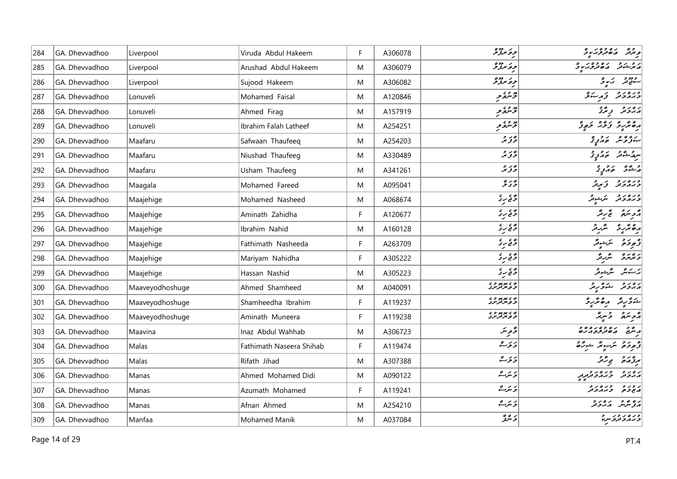| 284 | GA. Dhevvadhoo | Liverpool       | Viruda Abdul Hakeem      | F  | A306078 | وءَ برڏو                                   | وبرتر مەمروبر بو                                                                |
|-----|----------------|-----------------|--------------------------|----|---------|--------------------------------------------|---------------------------------------------------------------------------------|
| 285 | GA. Dhevvadhoo | Liverpool       | Arushad Abdul Hakeem     | M  | A306079 | ووَ بودٌوٌ و                               | ر و رو ره وه رو و                                                               |
| 286 | GA. Dhevvadhoo | Liverpool       | Sujood Hakeem            | M  | A306082 | دِءَ برزْ ژ                                | دودو برباری                                                                     |
| 287 | GA. Dhevvadhoo | Lonuveli        | Mohamed Faisal           | M  | A120846 | بر ترءً م                                  | ورەرو تەرىپى                                                                    |
| 288 | GA. Dhevvadhoo | Lonuveli        | Ahmed Firag              | M  | A157919 | بر ترځ مهِ                                 | أبرورو ويزة                                                                     |
| 289 | GA. Dhevvadhoo | Lonuveli        | Ibrahim Falah Latheef    | M  | A254251 | بددء                                       | رەپرىدى زىجە خېرو                                                               |
| 290 | GA. Dhevvadhoo | Maafaru         | Safwaan Thaufeeq         | M  | A254203 | ۇ ئەتر                                     | رە دەھەر دەپ<br>جۇۋىر مەزى                                                      |
| 291 | GA. Dhevvadhoo | Maafaru         | Niushad Thaufeeg         | M  | A330489 | ۇ ئەتر                                     | سرو شو در در دید.<br>مسرور شور مورد بود                                         |
| 292 | GA. Dhevvadhoo | Maafaru         | Usham Thaufeeg           | M  | A341261 | ۇزىر                                       | $\begin{array}{cc} 2 & 2 & 0 & 2 \\ 2 & 2 & 0 & 0 \\ 0 & 0 & 0 & 0 \end{array}$ |
| 293 | GA. Dhevvadhoo | Maagala         | Mohamed Fareed           | M  | A095041 | ۇرگ                                        | ورەرو كەيد                                                                      |
| 294 | GA. Dhevvadhoo | Maajehige       | Mohamed Nasheed          | M  | A068674 | پرې دي<br>  پرې کورئ                       | ورەرو شەير                                                                      |
| 295 | GA. Dhevvadhoo | Maajehige       | Aminath Zahidha          | F  | A120677 | لځ چه کړي<br> خليم کري                     | ومحرجة ومحرقه                                                                   |
| 296 | GA. Dhevvadhoo | Maajehige       | Ibrahim Nahid            | M  | A160128 | پرې <sub>د</sub> ي<br>قرقع سر <sup>ي</sup> | متزبر قر<br>ەرھ ئ <sup>ۆ</sup> ر ۋ                                              |
| 297 | GA. Dhevvadhoo | Maajehige       | Fathimath Nasheeda       | F  | A263709 | ی ځ ځ ر ځ<br>د ځم                          | أَدْجِرْةَ مَنْ مَرْشُوشَ                                                       |
| 298 | GA. Dhevvadhoo | Maajehige       | Mariyam Nahidha          | F  | A305222 | ی ء<br>ترقع سر تر                          | ر ه ر ه<br><del>د</del> بربرو<br>ىتزىرىتر                                       |
| 299 | GA. Dhevvadhoo | Maajehige       | Hassan Nashid            | M  | A305223 | لچ ۽ مريحه<br> حريج مريحه                  | ىز سەش سۇيغامۇ                                                                  |
| 300 | GA. Dhevvadhoo | Maaveyodhoshuge | Ahmed Shamheed           | M  | A040091 | ه ، پر پر و ،<br>تر تو پر توری             | رەرو شەۋىرىتر                                                                   |
| 301 | GA. Dhevvadhoo | Maaveyodhoshuge | Shamheedha Ibrahim       | F. | A119237 | ه ، پر پر و ،<br>تر تو پر توری             | شوريته مرەتمرو                                                                  |
| 302 | GA. Dhevvadhoo | Maaveyodhoshuge | Aminath Muneera          | F  | A119238 | ه د پر پر و د<br>نژ و بر تر بر پ           | خ سرپر<br>  پژ <sub>خر مترج</sub>                                               |
| 303 | GA. Dhevvadhoo | Maavina         | Inaz Abdul Wahhab        | M  | A306723 | ڈوبئر                                      | بر ده ده ده ده دو<br>د سرج په ده تر ژوندره                                      |
| 304 | GA. Dhevvadhoo | Malas           | Fathimath Naseera Shihab | F  | A119474 | ىز ئە                                      | توجوجو ترسوند جورمني                                                            |
| 305 | GA. Dhevvadhoo | Malas           | Rifath Jihad             | M  | A307388 | ىز ئە                                      | بروكاكم ورمحا                                                                   |
| 306 | GA. Dhevvadhoo | Manas           | Ahmed Mohamed Didi       | M  | A090122 | ىر ئىر شە                                  |                                                                                 |
| 307 | GA. Dhevvadhoo | Manas           | Azumath Mohamed          | F  | A119241 | ى ئىر مىشە                                 | נ כנים יכנים ניבי<br>היא כים יכה הכניבי                                         |
| 308 | GA. Dhevvadhoo | Manas           | Afnan Ahmed              | M  | A254210 | ىر ئىر م                                   | رە پ <sub>ە جە</sub><br>پروژ                                                    |
| 309 | GA. Dhevvadhoo | Manfaa          | Mohamed Manik            | M  | A037084 | ىز شرىچە                                   | و ر ٥ ر و ر<br>تر <i>پر ۸ تر تر</i> س                                           |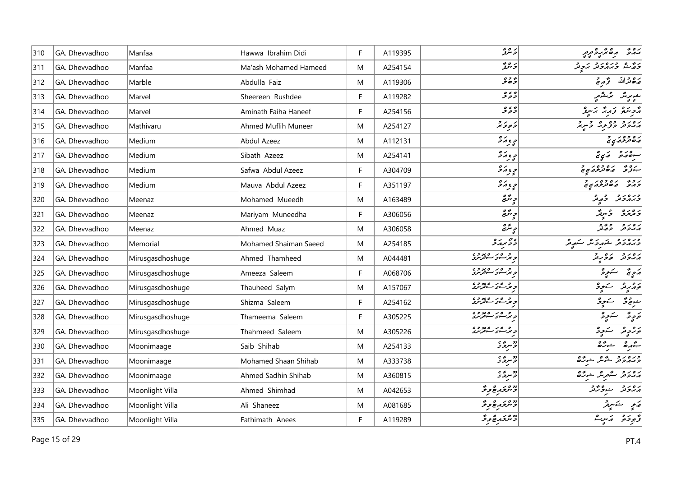| 310 | GA. Dhevvadhoo | Manfaa           | Hawwa Ibrahim Didi    | F         | A119395 | ىز شرىچە                               |                                                                                                                              |
|-----|----------------|------------------|-----------------------|-----------|---------|----------------------------------------|------------------------------------------------------------------------------------------------------------------------------|
| 311 | GA. Dhevvadhoo | Manfaa           | Ma'ash Mohamed Hameed | M         | A254154 | ىز شرىچە                               | د و د د و د و د د                                                                                                            |
| 312 | GA. Dhevvadhoo | Marble           | Abdulla Faiz          | ${\sf M}$ | A119306 | ء و ه<br>و گ                           | برە دالله وگرى                                                                                                               |
| 313 | GA. Dhevvadhoo | Marvel           | Sheereen Rushdee      | F         | A119282 | پر ہ<br>تر تر تر                       | ڪوبرنگر - برڪوبر<br>حوالا                                                                                                    |
| 314 | GA. Dhevvadhoo | Marvel           | Aminath Faiha Haneef  | F         | A254156 | ء ۽ ه<br>وه و                          | أأوشي وكرائه أناسي                                                                                                           |
| 315 | GA. Dhevvadhoo | Mathivaru        | Ahmed Muflih Muneer   | M         | A254127 | ځوړځه                                  | ره دو وو ده د پر                                                                                                             |
| 316 | GA. Dhevvadhoo | Medium           | Abdul Azeez           | ${\sf M}$ | A112131 | و ۽ رُک                                | ر ه د و ر<br>مه ترڅه یې ی                                                                                                    |
| 317 | GA. Dhevvadhoo | Medium           | Sibath Azeez          | ${\sf M}$ | A254141 | جەدبە                                  |                                                                                                                              |
| 318 | GA. Dhevvadhoo | Medium           | Safwa Abdul Azeez     | F         | A304709 | ج ۽ رُج                                | ים מסינקריק<br>הנכ"ר הסינקריק                                                                                                |
| 319 | GA. Dhevvadhoo | Medium           | Mauva Abdul Azeez     | F         | A351197 | ج ۽ رکڻ                                | ג כדי גם כסג כ<br>כגב גם עבדי ב                                                                                              |
| 320 | GA. Dhevvadhoo | Meenaz           | Mohamed Mueedh        | M         | A163489 | جریٹرچ                                 | ورەر د دېد                                                                                                                   |
| 321 | GA. Dhevvadhoo | Meenaz           | Mariyam Muneedha      | F         | A306056 | حريثره                                 | تر جو بر و<br>تر <i>بر</i> برگر<br>3سرتگر                                                                                    |
| 322 | GA. Dhevvadhoo | Meenaz           | Ahmed Muaz            | M         | A306058 | جريثي                                  | ره رح در و<br>مەر ئىسى ئى                                                                                                    |
| 323 | GA. Dhevvadhoo | Memorial         | Mohamed Shaiman Saeed | ${\sf M}$ | A254185 | <sup>2</sup> 5 مرتر فر                 | ورەرو خىرىگە سەپى                                                                                                            |
| 324 | GA. Dhevvadhoo | Mirusgasdhoshuge | Ahmed Thamheed        | M         | A044481 | و بر ص د و و د<br>و بر سوی سوتورس      | رەرد رەرد                                                                                                                    |
| 325 | GA. Dhevvadhoo | Mirusgasdhoshuge | Ameeza Saleem         | F         | A068706 | و چې د ه پر و د<br>تر بر سوتو سوتورۍ   | أرَجٍ يَحَ وَجَرْدَ الْمَسْتَمْتِينَ وَالْمَرْجَدِينَ وَالْمَرْجَعِينَ وَالْمَرْجَعِينَ وَالْمُرْجَد                         |
| 326 | GA. Dhevvadhoo | Mirusgasdhoshuge | Thauheed Salym        | M         | A157067 | و چې د ه پر و د<br>تر بر سوتو سوتورۍ   | پر ديگر<br>حوړ په تن<br>سەرد                                                                                                 |
| 327 | GA. Dhevvadhoo | Mirusgasdhoshuge | Shizma Saleem         | F         | A254162 | د حرک در ۲۵ و د و د<br>د مرکسوی سوتورس | خويج محر<br>مشويج محر<br>سەرد                                                                                                |
| 328 | GA. Dhevvadhoo | Mirusgasdhoshuge | Thameema Saleem       | F         | A305225 | و چې د ه پر و د<br>تر بر سوتو سوتورۍ   | وَرِرَّ<br>سەرد                                                                                                              |
| 329 | GA. Dhevvadhoo | Mirusgasdhoshuge | Thahmeed Saleem       | M         | A305226 | و چرے پر ویو و ۽<br>و بوسسوي سسوفرمزي  | ر د<br>مور د په<br>سەرد                                                                                                      |
| 330 | GA. Dhevvadhoo | Moonimaage       | Saib Shihab           | M         | A254133 | ود سرچ ی<br>څسرچ <sub>ک</sub>          | $\overset{\circ}{\circ}$ $\overset{\circ}{\circ}$ $\overset{\circ}{\circ}$ $\overset{\circ}{\circ}$ $\overset{\circ}{\circ}$ |
| 331 | GA. Dhevvadhoo | Moonimaage       | Mohamed Shaan Shihab  | ${\sf M}$ | A333738 | ود پرېږي<br>تر سرچ <sub>ک</sub>        | ورەرو ئۇش ئورگە                                                                                                              |
| 332 | GA. Dhevvadhoo | Moonimaage       | Ahmed Sadhin Shihab   | ${\sf M}$ | A360815 | ود سرچ ځ<br>د                          | رەرد گورىر خوڭ                                                                                                               |
| 333 | GA. Dhevvadhoo | Moonlight Villa  | Ahmed Shimhad         | ${\sf M}$ | A042653 | د مر <sub>ى</sub> زىر <u>ق</u> ورۇ     | رەرو جوڭ تورگىز<br>مەركى جوڭىز                                                                                               |
| 334 | GA. Dhevvadhoo | Moonlight Villa  | Ali Shaneez           | M         | A081685 | دوه بر مرغ <sub>عر</sub> مً            | أتذمح المتكاملية                                                                                                             |
| 335 | GA. Dhevvadhoo | Moonlight Villa  | Fathimath Anees       | F         | A119289 | روه بر پروه موځه<br> رامز پر مر        | ۇۋۇۋە كەسپ                                                                                                                   |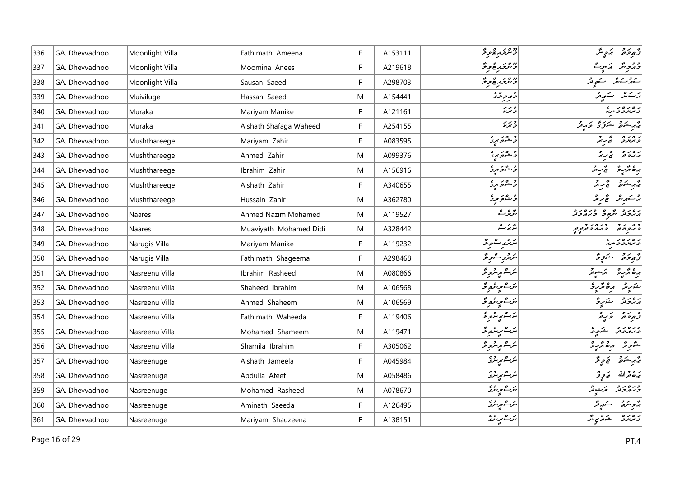| 336 | GA. Dhevvadhoo | Moonlight Villa | Fathimath Ameena       | F  | A153111 | وممرخره عوقر                                           | أوالمجافرة المتحيات                           |
|-----|----------------|-----------------|------------------------|----|---------|--------------------------------------------------------|-----------------------------------------------|
| 337 | GA. Dhevvadhoo | Moonlight Villa | Moomina Anees          | F. | A219618 | در مر <sub>کو مرک</sub> و محر                          | وحرو شهر المسرائد                             |
| 338 | GA. Dhevvadhoo | Moonlight Villa | Sausan Saeed           | F. | A298703 | روه بر مره عرقه                                        | سەم ئەسكەر ئىسكەر ئىر                         |
| 339 | GA. Dhevvadhoo | Muiviluge       | Hassan Saeed           | M  | A154441 | څه موغو د<br>  خرموغو د                                | يزك مكار شكر وتر                              |
| 340 | GA. Dhevvadhoo | Muraka          | Mariyam Manike         | F  | A121161 | ويرز                                                   | ر ەرەر يېرىكى<br>دىمەركەترىپ                  |
| 341 | GA. Dhevvadhoo | Muraka          | Aishath Shafaga Waheed | F  | A254155 | ويرر                                                   | مەر شەڭ ئۇز ئۇ ئارلىر                         |
| 342 | GA. Dhevvadhoo | Mushthareege    | Mariyam Zahir          | F  | A083595 | د ه د مړينې<br>د شوم مړينې                             | دەرە ئەرىر                                    |
| 343 | GA. Dhevvadhoo | Mushthareege    | Ahmed Zahir            | M  | A099376 | و شوېر په<br>تر شوم پر د                               | ورود ع ب                                      |
| 344 | GA. Dhevvadhoo | Mushthareege    | Ibrahim Zahir          | M  | A156916 | و شو په د پر                                           | ە ھەترىر <sup>ە</sup><br>پچ سر بخه<br>مخ      |
| 345 | GA. Dhevvadhoo | Mushthareege    | Aishath Zahir          | F  | A340655 | د شوړ <sub>مو</sub> ځ                                  |                                               |
| 346 | GA. Dhevvadhoo | Mushthareege    | Hussain Zahir          | M  | A362780 | د شور <sub>س</sub> ره<br>د شوړ س <sub>ر</sub> د        | برسكىرىنى ئەرىر                               |
| 347 | GA. Dhevvadhoo | <b>Naares</b>   | Ahmed Nazim Mohamed    | M  | A119527 | ىئر پر م                                               | رەرد ش ورەرد                                  |
| 348 | GA. Dhevvadhoo | Naares          | Muaviyath Mohamed Didi | M  | A328442 | پڑ پر ہ                                                | و ر ه ر و برور<br>تر بر بر تر تر تر تر        |
| 349 | GA. Dhevvadhoo | Narugis Villa   | Mariyam Manike         | F  | A119232 | ىئرىزى <sub>ر</sub> سى <sub>مو</sub> ىخە               | ر ہ ر ہ ر ۔<br>ב بربرد و سربا                 |
| 350 | GA. Dhevvadhoo | Narugis Villa   | Fathimath Shageema     | F  | A298468 | ىئەتترى <sub>ر</sub> سىھوقە                            | ۇ بور د<br>ڪون <sub>ٽو</sub> گر               |
| 351 | GA. Dhevvadhoo | Nasreenu Villa  | Ibrahim Rasheed        | M  | A080866 | ىئە <sup>ت</sup> بېرىتر <sub>ى</sub> ر ئە              | ە ھەترىر <sup>ە</sup><br>بخرشوقر              |
| 352 | GA. Dhevvadhoo | Nasreenu Villa  | Shaheed Ibrahim        | M  | A106568 | ىئە <sup>ر م</sup> ېرىتى <sub>تى</sub> ر ئە            | ڪ پيدائش<br>پخ<br>دە ئەرد                     |
| 353 | GA. Dhevvadhoo | Nasreenu Villa  | Ahmed Shaheem          | M  | A106569 | ىئە <sup>ر م</sup> ېرىتى <sub>تى</sub> ر ئى            | پروژو<br>ے کرو                                |
| 354 | GA. Dhevvadhoo | Nasreenu Villa  | Fathimath Waheeda      | F  | A119406 | ىئە <sup>م</sup> يېرىن <sub>م</sub> و ئە               | ۇ ب <sub>و</sub> ر د<br>ءَ ٻرقر               |
| 355 | GA. Dhevvadhoo | Nasreenu Villa  | Mohamed Shameem        | M  | A119471 | ىئەب <sup>0</sup> بېرىتر <sub>ى</sub> ر ئ <sup>ۇ</sup> | و ر ه ر و<br>د بر پر <del>و</del> تر<br>ستكور |
| 356 | GA. Dhevvadhoo | Nasreenu Villa  | Shamila Ibrahim        | F  | A305062 | ىئە <sup>م</sup> يېرىتى <sub>تى</sub> ر                | برە ئۆرۈ<br>ڪ <sup>و</sup> رِ تَر             |
| 357 | GA. Dhevvadhoo | Nasreenuge      | Aishath Jameela        | F  | A045984 | ىئرىش <sub>مىرى</sub> ترىگە                            | تح تر تخر<br>پھر ڪر ج                         |
| 358 | GA. Dhevvadhoo | Nasreenuge      | Abdulla Afeef          | M  | A058486 | ىئرىش <sub>ى</sub> رىتىگە                              | بر25 اللّه<br>ەزىۋ                            |
| 359 | GA. Dhevvadhoo | Nasreenuge      | Mohamed Rasheed        | M  | A078670 | ىئرىش <sub>ىرىدى</sub> ئ                               | و ره ر د<br><i>د بر</i> پر تر                 |
| 360 | GA. Dhevvadhoo | Nasreenuge      | Aminath Saeeda         | F. | A126495 | ىئرىش <sub>ىرىدى</sub> ئ                               | أرمحه سرد<br>سەرپەتر                          |
| 361 | GA. Dhevvadhoo | Nasreenuge      | Mariyam Shauzeena      | F  | A138151 | ىئرىش <sub>مېرىتى</sub> گە                             | حەرە ھەرىپە ئىكەن                             |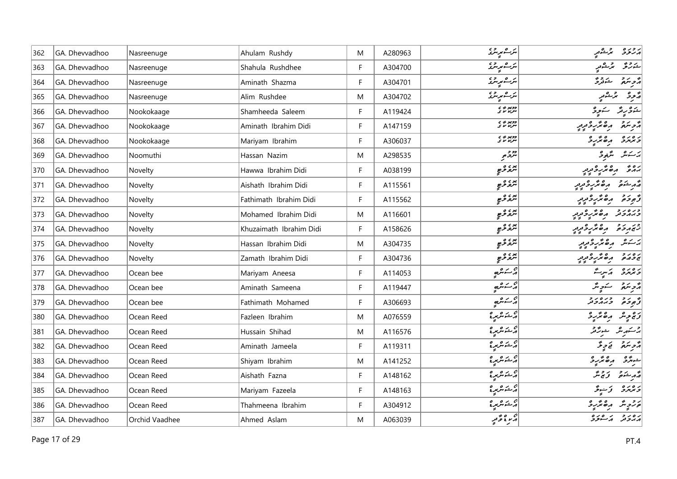| 362 | GA. Dhevvadhoo | Nasreenuge     | Ahulam Rushdy           | M           | A280963 | بئر شمېرىترنگە                        | أروره وحيامير                                                            |
|-----|----------------|----------------|-------------------------|-------------|---------|---------------------------------------|--------------------------------------------------------------------------|
| 363 | GA. Dhevvadhoo | Nasreenuge     | Shahula Rushdhee        | F.          | A304700 | ىر مەم <sub>ىر</sub> بىرى             | شەرقى - ئەشەبە                                                           |
| 364 | GA. Dhevvadhoo | Nasreenuge     | Aminath Shazma          | F           | A304701 | ىر مەم <sub>ىر</sub> بىرىدى<br>م      | شەكتەنى<br>أثر حريثهمج                                                   |
| 365 | GA. Dhevvadhoo | Nasreenuge     | Alim Rushdee            | M           | A304702 | ىر مەم <sub>ىر</sub> س <sup>ى</sup> د | ومحرو<br>تر شد ور<br>مر شو ور                                            |
| 366 | GA. Dhevvadhoo | Nookokaage     | Shamheeda Saleem        | $\mathsf F$ | A119424 | دد پر پر پر<br>سربر بر پ              | سەَموِد<br>شەۋرى <i>د</i><br>ئ                                           |
| 367 | GA. Dhevvadhoo | Nookokaage     | Aminath Ibrahim Didi    | F           | A147159 | وویر ہے ی<br>سربر نر <sub>ک</sub>     | أأرمز<br>ەر ھەتئەر 3 دىرىر<br>بەھ تئىر بەر ئە                            |
| 368 | GA. Dhevvadhoo | Nookokaage     | Mariyam Ibrahim         | F.          | A306037 | وویر ہے ی<br>سربر نر <sub>ک</sub>     | ر ه ر ه<br><del>و</del> بوبرو<br>برە ئۆرۈ                                |
| 369 | GA. Dhevvadhoo | Noomuthi       | Hassan Nazim            | M           | A298535 | يودير                                 | سَّرْهُ رُ<br>برسەھە                                                     |
| 370 | GA. Dhevvadhoo | Novelty        | Hawwa Ibrahim Didi      | $\mathsf F$ | A038199 | ير ، و<br>سره څرم <b>چ</b>            | ر ۱۵ مرگر د ورور<br>گره مرگر د کار<br>ر ه و<br>پر <sub>مر</sub> خ        |
| 371 | GA. Dhevvadhoo | Novelty        | Aishath Ibrahim Didi    | F           | A115561 | ير ، و<br>سره څرمج                    | ە جەنگرىر توپىر<br>بە ھەنگرىر تەرىپ<br>ائی <sub>م</sub> مرشوحه<br>مرشوحه |
| 372 | GA. Dhevvadhoo | Novelty        | Fathimath Ibrahim Didi  | F.          | A115562 | پره و مح                              | و وده میگروید                                                            |
| 373 | GA. Dhevvadhoo | Novelty        | Mohamed Ibrahim Didi    | M           | A116601 | ير ۽ و<br>سره گريج                    | ە ئەگرىۋىرىر<br>رەئەر ئ<br>و ره ر و<br><i>و پر</i> پر تر                 |
| 374 | GA. Dhevvadhoo | Novelty        | Khuzaimath Ibrahim Didi | F           | A158626 | ير ، و<br>سره څرمج                    | جي مرکزه مه مرکز مرمر                                                    |
| 375 | GA. Dhevvadhoo | Novelty        | Hassan Ibrahim Didi     | M           | A304735 | ير ۽ و<br>سرھ گريج                    |                                                                          |
| 376 | GA. Dhevvadhoo | Novelty        | Zamath Ibrahim Didi     | F           | A304736 | ير ۽ و<br>سره گريج                    |                                                                          |
| 377 | GA. Dhevvadhoo | Ocean bee      | Mariyam Aneesa          | F.          | A114053 | ارتبه وهيم                            | ړ سرینهٔ<br>ر ه ر ه<br><del>ر</del> بر بر و                              |
| 378 | GA. Dhevvadhoo | Ocean bee      | Aminath Sameena         | F           | A119447 | لقرسكرهمو                             | ړې سره<br>سەرپىگە                                                        |
| 379 | GA. Dhevvadhoo | Ocean bee      | Fathimath Mohamed       | F           | A306693 | لأسكسطي                               | و ر ه ر د<br><i>د ب</i> رگرفر<br>ء بر د<br>ترجو حو                       |
| 380 | GA. Dhevvadhoo | Ocean Reed     | Fazleen Ibrahim         | M           | A076559 | ى<br>مەسىر مىرىپە                     | زءوچش مقتررة                                                             |
| 381 | GA. Dhevvadhoo | Ocean Reed     | Hussain Shihad          | M           | A116576 | ە ئەنە ئىرىپە ؟<br>م                  | چرىكىرىش ھوچىقى                                                          |
| 382 | GA. Dhevvadhoo | Ocean Reed     | Aminath Jameela         | F           | A119311 | لأيسك مربوع                           | أأروبتهم فأوقر                                                           |
| 383 | GA. Dhevvadhoo | Ocean Reed     | Shiyam Ibrahim          | M           | A141252 | ە ئەنە ئىرىد <sup>6</sup>             | برە ئۆر ۋ<br>شەدگرى                                                      |
| 384 | GA. Dhevvadhoo | Ocean Reed     | Aishath Fazna           | F           | A148162 | ە ئەكەنگىرى<br>م                      | أقرم يستوفوا الاستحامل                                                   |
| 385 | GA. Dhevvadhoo | Ocean Reed     | Mariyam Fazeela         | F           | A148163 | لرمشه مثربره                          | ر ه ر ه<br><del>ر</del> بربرگ<br>تى سىيىتى                               |
| 386 | GA. Dhevvadhoo | Ocean Reed     | Thahmeena Ibrahim       | F           | A304912 | ە ئەنە ئىرى <i>ي</i><br>م             | ە ھەترىرە<br>مرەنجەر<br>ۇرۇپىژ                                           |
| 387 | GA. Dhevvadhoo | Orchid Vaadhee | Ahmed Aslam             | M           | A063039 | ەر بە ئەھمەر<br>مەسر <sup>2</sup> ھ   | رەرو پەرەرە                                                              |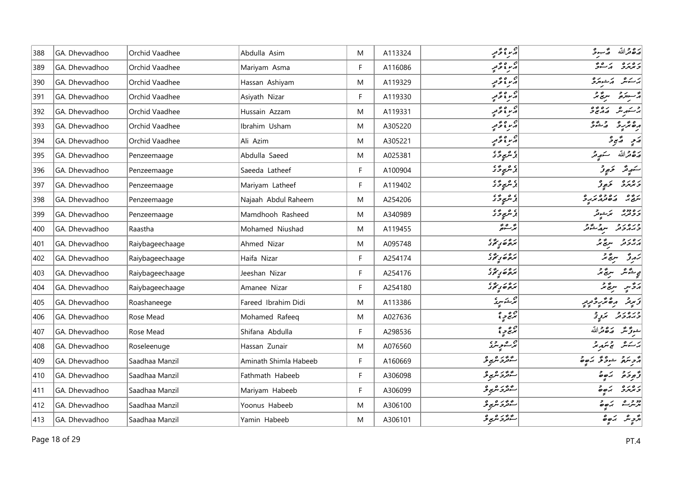| 388 | GA. Dhevvadhoo | Orchid Vaadhee  | Abdulla Asim          | M           | A113324 | ەر بە ئەھمەر<br>كىسىم ئەھمەر                                  | ەھەراللە<br>رمحر ببدره                                                                                                                                                      |
|-----|----------------|-----------------|-----------------------|-------------|---------|---------------------------------------------------------------|-----------------------------------------------------------------------------------------------------------------------------------------------------------------------------|
| 389 | GA. Dhevvadhoo | Orchid Vaadhee  | Mariyam Asma          | F           | A116086 | ەر بەء ئەتىر<br>كىسىم ئەتق                                    | رمشق<br>ر ه ر ه                                                                                                                                                             |
| 390 | GA. Dhevvadhoo | Orchid Vaadhee  | Hassan Ashiyam        | M           | A119329 | وسيدة عرقبه                                                   | يُرْسَمْشْ إِيَرْجُورْدُوْ                                                                                                                                                  |
| 391 | GA. Dhevvadhoo | Orchid Vaadhee  | Asiyath Nizar         | F           | A119330 | وسموء ځور                                                     | پ <sup>و</sup> سوہر ہ<br>سرچ تر                                                                                                                                             |
| 392 | GA. Dhevvadhoo | Orchid Vaadhee  | Hussain Azzam         | M           | A119331 | ە<br>مەر ؟ ھ <sup>ە</sup> يو                                  | 320 J<br>جەسە<br>بەسەر بىر                                                                                                                                                  |
| 393 | GA. Dhevvadhoo | Orchid Vaadhee  | Ibrahim Usham         | M           | A305220 | وسيدة عرقبه                                                   | دەندىر<br>رژشتەر                                                                                                                                                            |
| 394 | GA. Dhevvadhoo | Orchid Vaadhee  | Ali Azim              | M           | A305221 | ه<br>در د و څور                                               | $\frac{1}{2}$                                                                                                                                                               |
| 395 | GA. Dhevvadhoo | Penzeemaage     | Abdulla Saeed         | M           | A025381 | و هېږي ځ <sup>ي</sup>                                         | برە قراللە<br>سکھریٹر                                                                                                                                                       |
| 396 | GA. Dhevvadhoo | Penzeemaage     | Saeeda Latheef        | F           | A100904 | ې مر <sub>مو</sub> په <sup>ه</sup>                            | أسكورتمر<br>ځږې تر                                                                                                                                                          |
| 397 | GA. Dhevvadhoo | Penzeemaage     | Mariyam Latheef       | F.          | A119402 | ې ش <sub>مې</sub> وي.<br>بر مر <sub>م</sub> ح تر <sub>ک</sub> | ر ه ر ه<br><del>و</del> بربرو<br>ځږېژ                                                                                                                                       |
| 398 | GA. Dhevvadhoo | Penzeemaage     | Najaah Abdul Raheem   | M           | A254206 | ې مر <sub>سم</sub> بر ځ                                       | ره وه ره<br>پره تربر تر<br>ر ره ه<br>سرچ ر                                                                                                                                  |
| 399 | GA. Dhevvadhoo | Penzeemaage     | Mamdhooh Rasheed      | M           | A340989 | ، هېږ <sup>د</sup> ،                                          | ر ه دوه<br>تر تر بر<br>بمرشوقر                                                                                                                                              |
| 400 | GA. Dhevvadhoo | Raastha         | Mohamed Niushad       | M           | A119455 | پۇ رەپۇ                                                       | سرچ شو د<br>و ر ه ر و<br>تر پر تر تر                                                                                                                                        |
| 401 | GA. Dhevvadhoo | Raiybageechaage | Ahmed Nizar           | M           | A095748 | ره د دره د                                                    | גפגב תוצב                                                                                                                                                                   |
| 402 | GA. Dhevvadhoo | Raiybageechaage | Haifa Nizar           | F           | A254174 | ره ر<br>تره که ت <sub>و</sub> گری                             | $\overline{\mathcal{Z}_{\alpha}^{\epsilon}}$<br>  ژبر ژ                                                                                                                     |
| 403 | GA. Dhevvadhoo | Raiybageechaage | Jeeshan Nizar         | F           | A254176 | بره د په دي.<br>مرکوه <sub>کو</sub> گر                        | ى <sub>چ</sub> ىشىر سرچ <sup>ى</sup> ر                                                                                                                                      |
| 404 | GA. Dhevvadhoo | Raiybageechaage | Amanee Nizar          | F.          | A254180 | ره د په ده د                                                  |                                                                                                                                                                             |
| 405 | GA. Dhevvadhoo | Roashaneege     | Fareed Ibrahim Didi   | M           | A113386 | ر<br>ترڪس <sub>ي</sub> ر                                      | وَ يَرِيدُ - برڭ يُرْجُويرِيْرِ                                                                                                                                             |
| 406 | GA. Dhevvadhoo | Rose Mead       | Mohamed Rafeeq        | M           | A027636 | ە ھ<br>ئىرىج ج <sub>ە</sub> ؟                                 | و ره ر د<br>د بر د تر<br>بمرورة                                                                                                                                             |
| 407 | GA. Dhevvadhoo | Rose Mead       | Shifana Abdulla       | $\mathsf F$ | A298536 | ە ە<br>ئىرىنى جەنج                                            | ىشوقرى <i>تر مەھ</i> قراللە                                                                                                                                                 |
| 408 | GA. Dhevvadhoo | Roseleenuge     | Hassan Zunair         | M           | A076560 | ترىشو يزلج                                                    | برسك بمسمد                                                                                                                                                                  |
| 409 | GA. Dhevvadhoo | Saadhaa Manzil  | Aminath Shimla Habeeb | F           | A160669 | <u>شوېره په ع</u>                                             | أأدبتهم شوكر أأوه                                                                                                                                                           |
| 410 | GA. Dhevvadhoo | Saadhaa Manzil  | Fathmath Habeeb       | F           | A306098 | <u>شوره پ</u> وځ                                              | ا تو بر در<br>ا<br>$\overset{\text{\normalsize\circ}}{\circ} \overset{\text{\normalsize\circ}}{\mathscr{A}}$                                                                |
| 411 | GA. Dhevvadhoo | Saadhaa Manzil  | Mariyam Habeeb        | F           | A306099 | ر<br>سەنگەر ش <sub>ەي</sub> ر                                 | ر ه ر ه<br><del>و</del> بربرو<br>$\overset{\scriptscriptstyle\mathsf{2}}{\scriptscriptstyle\mathsf{0}}\overset{\scriptscriptstyle\mathsf{2}}{\scriptscriptstyle\mathsf{2}}$ |
| 412 | GA. Dhevvadhoo | Saadhaa Manzil  | Yoonus Habeeb         | M           | A306100 | ر دوسره مربوعه<br>استور در مربوعه                             | ترىر م<br>$\overset{\scriptscriptstyle\mathsf{2}}{\scriptscriptstyle\mathsf{0}}\overset{\scriptscriptstyle\mathsf{0}}{\scriptscriptstyle\mathsf{0}}$ .                      |
| 413 | GA. Dhevvadhoo | Saadhaa Manzil  | Yamin Habeeb          | M           | A306101 | ئەنەر ئەر ئىچە بىر                                            | گرچ گروه                                                                                                                                                                    |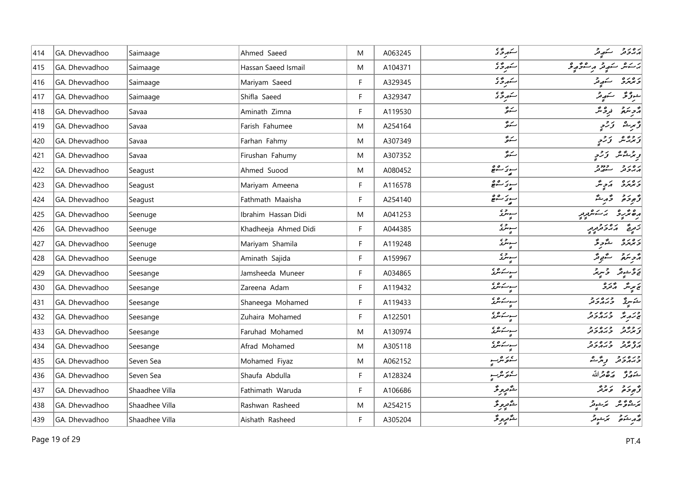| 414 | GA. Dhevvadhoo | Saimaage       | Ahmed Saeed          | M         | A063245 | ستهروء                                                       | رەرو سەرور                                                                                                     |
|-----|----------------|----------------|----------------------|-----------|---------|--------------------------------------------------------------|----------------------------------------------------------------------------------------------------------------|
| 415 | GA. Dhevvadhoo | Saimaage       | Hassan Saeed Ismail  | M         | A104371 | ستهردي                                                       | بر کے معلوم کے مقصوم کی محمد کے مقصوم کے مقصوم کے مقصوم کے مقصوم کے مقصوم کے مقصوم کے مقصوم کی مقصوم کی استعما |
| 416 | GA. Dhevvadhoo | Saimaage       | Mariyam Saeed        | F         | A329345 | سەدى                                                         | و دره در د                                                                                                     |
| 417 | GA. Dhevvadhoo | Saimaage       | Shifla Saeed         | F         | A329347 | سكهرونى                                                      | جوري سكهاند                                                                                                    |
| 418 | GA. Dhevvadhoo | Savaa          | Aminath Zimna        | F         | A119530 | سەپچ                                                         | أأدمره فردهم                                                                                                   |
| 419 | GA. Dhevvadhoo | Savaa          | Farish Fahumee       | M         | A254164 | سەۋ                                                          | وحميده ورقمي                                                                                                   |
| 420 | GA. Dhevvadhoo | Savaa          | Farhan Fahmy         | ${\sf M}$ | A307349 | سەچ                                                          | تروم ترويه                                                                                                     |
| 421 | GA. Dhevvadhoo | Savaa          | Firushan Fahumy      | ${\sf M}$ | A307352 | سەۋ                                                          | ويرتشش ترزح                                                                                                    |
| 422 | GA. Dhevvadhoo | Seagust        | Ahmed Suood          | ${\sf M}$ | A080452 | سە ئەسىر ھ<br>مە                                             | ره ر و ودوو<br>גرونر سوړنر                                                                                     |
| 423 | GA. Dhevvadhoo | Seagust        | Mariyam Ameena       | F         | A116578 | ر پر دەھ<br>م                                                | دەرە ئېچىگە                                                                                                    |
| 424 | GA. Dhevvadhoo | Seagust        | Fathmath Maaisha     | F         | A254140 | $\overline{\mathcal{Q}}\mathcal{Q}}\mathcal{Q}}\mathcal{Q}}$ | ژوده ژرځ                                                                                                       |
| 425 | GA. Dhevvadhoo | Seenuge        | Ibrahim Hassan Didi  | M         | A041253 | سويىتى<br>ئە                                                 |                                                                                                                |
| 426 | GA. Dhevvadhoo | Seenuge        | Khadheeja Ahmed Didi | F         | A044385 | سويىتى<br>ئە                                                 | رەترىرو كەسكىرىدىر<br>مەھرىرو كەسكىرى<br>كەيبۇ كەنگە كەيب                                                      |
| 427 | GA. Dhevvadhoo | Seenuge        | Mariyam Shamila      | F         | A119248 | سومبر<br>په                                                  | رەرە<br><i>دى</i> رىرۇ ش <sup>ې</sup> رۇ                                                                       |
| 428 | GA. Dhevvadhoo | Seenuge        | Aminath Sajida       | F         | A159967 | سەپىر<br>ئە                                                  | أمجر سكوم المستحقر                                                                                             |
| 429 | GA. Dhevvadhoo | Seesange       | Jamsheeda Muneer     | F         | A034865 | اب مەنتەتلەر<br>پە                                           | رە خوش ئىرىر<br>ئىگە ئىسىم                                                                                     |
| 430 | GA. Dhevvadhoo | Seesange       | Zareena Adam         | F         | A119432 | لسوستعليمه                                                   | ىج ئىرىنتى ئەردە                                                                                               |
| 431 | GA. Dhevvadhoo | Seesange       | Shaneega Mohamed     | F         | A119433 | اب مەئىدى<br>ئ                                               | أشوريج ورورو                                                                                                   |
| 432 | GA. Dhevvadhoo | Seesange       | Zuhaira Mohamed      | F         | A122501 | اب نەھىدى<br>پە                                              | جزیر پر در در د                                                                                                |
| 433 | GA. Dhevvadhoo | Seesange       | Faruhad Mohamed      | M         | A130974 | اب مەنتەتلەر<br>ئ                                            | ر و دو د وره ر و<br>زیربرگتر کا جهان و تعر                                                                     |
| 434 | GA. Dhevvadhoo | Seesange       | Afrad Mohamed        | ${\sf M}$ | A305118 | اب مەنتەپى<br>پە                                             | גם כב כגם גב<br>הציבה כגהכת                                                                                    |
| 435 | GA. Dhevvadhoo | Seven Sea      | Mohamed Fiyaz        | ${\sf M}$ | A062152 | ے پر ہ<br>سوء مثر سو                                         | ورەر وگرے                                                                                                      |
| 436 | GA. Dhevvadhoo | Seven Sea      | Shaufa Abdulla       | F         | A128324 | ے پر م <sub>صنع</sub>                                        | أشعص فاصح والله                                                                                                |
| 437 | GA. Dhevvadhoo | Shaadhee Villa | Fathimath Waruda     | F         | A106686 | ىشەرە ۋ<br>ئ                                                 | وتجميح تمريح وتحرير                                                                                            |
| 438 | GA. Dhevvadhoo | Shaadhee Villa | Rashwan Rasheed      | M         | A254215 | ر<br>شگوروگر                                                 | ر مەسىمى ئىمەشىرىگى<br>ئىرىشوقۇشى ئىرىشونىر                                                                    |
| 439 | GA. Dhevvadhoo | Shaadhee Villa | Aishath Rasheed      | F         | A305204 | ىشەرەتر<br>ئ                                                 | مەر ئىكى ئىم ئىكىسىدىگر                                                                                        |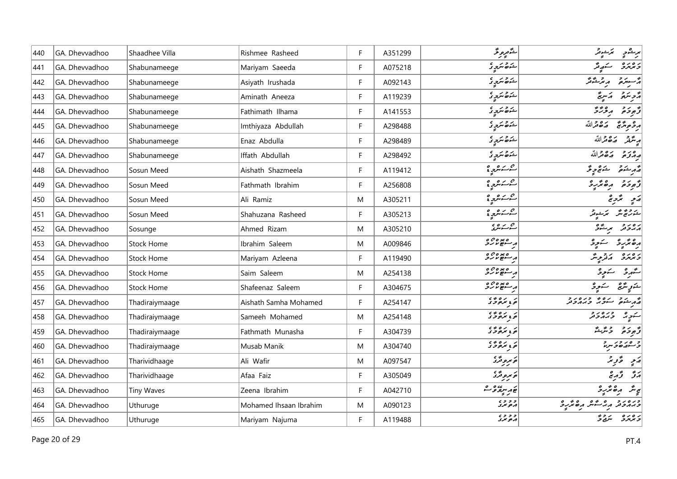| 440 | GA. Dhevvadhoo | Shaadhee Villa    | Rishmee Rasheed        | F  | A351299 | ىشەرە ئۇ<br>مەسىم                                                                                                                                                                                                                               | ىمەسىيەتىر<br>ئى                                                    |
|-----|----------------|-------------------|------------------------|----|---------|-------------------------------------------------------------------------------------------------------------------------------------------------------------------------------------------------------------------------------------------------|---------------------------------------------------------------------|
| 441 | GA. Dhevvadhoo | Shabunameege      | Mariyam Saeeda         | F. | A075218 | ر<br>شەھ سر <sub>ى</sub> جە ي                                                                                                                                                                                                                   | وبروه                                                               |
| 442 | GA. Dhevvadhoo | Shabunameege      | Asiyath Irushada       | F  | A092143 | ے کا صرح کی<br>مشخص سرح ک                                                                                                                                                                                                                       | ەر بىر شەھر<br>پ <sup>و</sup> سوهره<br>ر                            |
| 443 | GA. Dhevvadhoo | Shabunameege      | Aminath Aneeza         | F. | A119239 | ستەھ ئىر <sub>ىچ</sub> ئ                                                                                                                                                                                                                        | أرمز تنبغي<br>ىرسرى                                                 |
| 444 | GA. Dhevvadhoo | Shabunameege      | Fathimath Ilhama       | F  | A141553 | ے ک <i>ے سرح ک</i>                                                                                                                                                                                                                              | بروژڅ<br>ۇ بو ئەم                                                   |
| 445 | GA. Dhevvadhoo | Shabunameege      | Imthiyaza Abdullah     | F  | A298488 | شەھ ئىرىپە ئ                                                                                                                                                                                                                                    | وده ويزنج<br>مَە قىراللە                                            |
| 446 | GA. Dhevvadhoo | Shabunameege      | Enaz Abdulla           | F. | A298489 | ے ک <i>ے سرح ک</i>                                                                                                                                                                                                                              | ويتثغر<br>ەھىراللە                                                  |
| 447 | GA. Dhevvadhoo | Shabunameege      | Iffath Abdullah        | F  | A298492 | ے کا سر <sub>ح ک</sub>                                                                                                                                                                                                                          | مهروم مكافرالله                                                     |
| 448 | GA. Dhevvadhoo | Sosun Meed        | Aishath Shazmeela      | F. | A119412 | $\sqrt[2]{\frac{2}{\sqrt{2}}\sum_{\substack{z \in \mathcal{Z}}}$                                                                                                                                                                                | پ <sup>و</sup> مرشو ه<br>مرم<br>شەھ <sub>ى</sub> يۇ                 |
| 449 | GA. Dhevvadhoo | Sosun Meed        | Fathmath Ibrahim       | F. | A256808 | $\sqrt[2]{\underbrace{\phantom{a}}_{\mathscr{S}}\underbrace{\phantom{a}}_{\mathscr{S}}\underbrace{\phantom{a}}_{\mathscr{S}}\underbrace{\phantom{a}}_{\mathscr{S}}\underbrace{\phantom{a}}_{\mathscr{S}}\underbrace{\phantom{a}}_{\mathscr{S}}$ | و مردم<br>ت<br>ە ھەترىر ۋ                                           |
| 450 | GA. Dhevvadhoo | Sosun Meed        | Ali Ramiz              | M  | A305211 | <u>م بەيرو ۋ</u>                                                                                                                                                                                                                                | أرشع التمريح                                                        |
| 451 | GA. Dhevvadhoo | Sosun Meed        | Shahuzana Rasheed      | F  | A305213 | <u>م ئەشرە ؟</u>                                                                                                                                                                                                                                | المستوفر المحركة المركز المستوفر<br>المستوفر المحركة المستوفر       |
| 452 | GA. Dhevvadhoo | Sosunge           | Ahmed Rizam            | M  | A305210 | <u>م</u> ئەسەرى                                                                                                                                                                                                                                 | رەرد پررچە                                                          |
| 453 | GA. Dhevvadhoo | <b>Stock Home</b> | Ibrahim Saleem         | M  | A009846 | 20000                                                                                                                                                                                                                                           | ە ھەترىر <sup>ە</sup><br>سەرد                                       |
| 454 | GA. Dhevvadhoo | <b>Stock Home</b> | Mariyam Azleena        | F  | A119490 | مەھەرە                                                                                                                                                                                                                                          | ويوبره<br>ە ئەقرىبە تىر                                             |
| 455 | GA. Dhevvadhoo | <b>Stock Home</b> | Saim Saleem            | M  | A254138 | $\overset{o}{\sim} \overset{o}{\sim} \overset{o}{\sim} \overset{o}{\sim} \overset{o}{\sim} \overset{o}{\sim}$                                                                                                                                   | ستهره<br>سەرد                                                       |
| 456 | GA. Dhevvadhoo | <b>Stock Home</b> | Shafeenaz Saleem       | F  | A304675 | وسنعوه و                                                                                                                                                                                                                                        | شورٍ سَرُج کے سوری                                                  |
| 457 | GA. Dhevvadhoo | Thadiraiymaage    | Aishath Samha Mohamed  | F. | A254147 | ر بره و ،<br>مو برمونه د                                                                                                                                                                                                                        | ه در دره دره در در<br>پهرشنی سور ورمارون                            |
| 458 | GA. Dhevvadhoo | Thadiraiymaage    | Sameeh Mohamed         | M  | A254148 | ر<br>مو بره دی                                                                                                                                                                                                                                  | و ره ر د<br><i>د ب</i> رگرمر<br>سەچەر                               |
| 459 | GA. Dhevvadhoo | Thadiraiymaage    | Fathmath Munasha       | F  | A304739 | <br>  پوځې پرې د تر                                                                                                                                                                                                                             | ۇ بور د<br>تر مگر <u>مگ</u>                                         |
| 460 | GA. Dhevvadhoo | Thadiraiymaage    | Musab Manik            | M  | A304740 | ر به ره و ،<br>مو برمونز د                                                                                                                                                                                                                      | כ פי כן הק                                                          |
| 461 | GA. Dhevvadhoo | Tharividhaage     | Ali Wafir              | M  | A097547 | <br>  حو مره قری                                                                                                                                                                                                                                | ړې ورېژ                                                             |
| 462 | GA. Dhevvadhoo | Tharividhaage     | Afaa Faiz              | F  | A305049 | ړ<br>حومرو تر د                                                                                                                                                                                                                                 | $\begin{array}{cc} 0 & 0 & 0 \\ 0 & 0 & 0 \\ 0 & 0 & 0 \end{array}$ |
| 463 | GA. Dhevvadhoo | <b>Tiny Waves</b> | Zeena Ibrahim          | F  | A042710 | ىم بەسرە تۈرگ<br>مەسرە تۈرگ                                                                                                                                                                                                                     | ې پېژگر ره <i>ټرې</i> د                                             |
| 464 | GA. Dhevvadhoo | Uthuruge          | Mohamed Ihsaan Ibrahim | M  | A090123 | د د د د<br>مرح برد                                                                                                                                                                                                                              |                                                                     |
| 465 | GA. Dhevvadhoo | Uthuruge          | Mariyam Najuma         | F  | A119488 | د د د پ<br>پره مرد                                                                                                                                                                                                                              | ر ه ر ه<br><del>و</del> بربرگر<br>ر و بر<br>سرچ و                   |
|     |                |                   |                        |    |         |                                                                                                                                                                                                                                                 |                                                                     |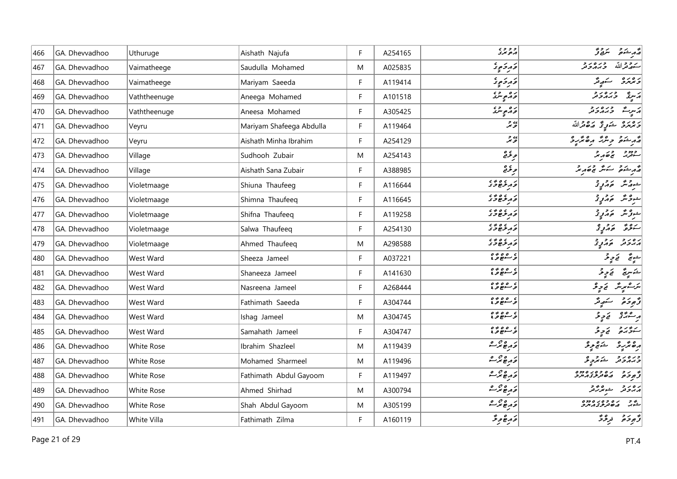| 466 | GA. Dhevvadhoo | Uthuruge          | Aishath Najufa           | F  | A254165 | د د د د<br>پره پرې             | ه دشته و دونو<br>امکار شوه سرچ تر                 |
|-----|----------------|-------------------|--------------------------|----|---------|--------------------------------|---------------------------------------------------|
| 467 | GA. Dheyyadhoo | Vaimatheege       | Saudulla Mohamed         | M  | A025835 | ر<br>ورځ م <sub>و</sub> د      | بحصر تعرالله<br>و ر ه ر و<br><i>و پر پ</i> رتر    |
| 468 | GA. Dhevvadhoo | Vaimatheege       | Mariyam Saeeda           | F. | A119414 | ر<br>قەر قەمى                  | ر ه بر ه<br>سە پە تىر                             |
| 469 | GA. Dhevvadhoo | Vaththeenuge      | Aneega Mohamed           | F  | A101518 | ره ده<br>عدموس                 | و ره ر و<br>تر پروتر<br>بر سرچ<br>م               |
| 470 | GA. Dhevvadhoo | Vaththeenuge      | Aneesa Mohamed           | F  | A305425 | ئەۋر يېرىم                     | و ر ه ر د<br>تر بر بر تر<br>ئەس <sub>رى</sub> ستە |
| 471 | GA. Dhevvadhoo | Veyru             | Mariyam Shafeega Abdulla | F  | A119464 | ړے و<br>حرمر                   | تر مرمرد شريع كان محمد الله                       |
| 472 | GA. Dhevvadhoo | Veyru             | Aishath Minha Ibrahim    | F  | A254129 | ړي و.<br>حرمر                  | أثمر شوه وبلاثه وهندبرد                           |
| 473 | GA. Dhevvadhoo | Village           | Sudhooh Zubair           | M  | A254143 | حريحيح                         | בכבר בבתיב                                        |
| 474 | GA. Dhevvadhoo | Village           | Aishath Sana Zubair      | F  | A388985 | حبوهي                          |                                                   |
| 475 | GA. Dhevvadhoo | Violetmaage       | Shiuna Thaufeeg          | F  | A116644 | ر پره وي<br><i>و</i> پر څونو د | شوړ شمر کړې ته د                                  |
| 476 | GA. Dhevvadhoo | Violetmaage       | Shimna Thaufeeq          | F  | A116645 | ر ري ه د د .<br>مرکز هو د د    | شوۋىتر برو دېږ                                    |
| 477 | GA. Dhevvadhoo | Violetmaage       | Shifna Thaufeeq          | F  | A119258 | تەرىخى ئەتى                    | ھوڙ سگر مرکز پر                                   |
| 478 | GA. Dhevvadhoo | Violetmaage       | Salwa Thaufeeq           | F  | A254130 | ر عود دي.<br>در دود د          | روء -<br>سنوه م <i>وم</i> نړي                     |
| 479 | GA. Dhevvadhoo | Violetmaage       | Ahmed Thaufeeq           | M  | A298588 | ر ري ه د د .<br>مرکز هو د د    | ג <i>פג</i> ב בריביב<br>הגבע האיניב               |
| 480 | GA. Dhevvadhoo | West Ward         | Sheeza Jameel            | F  | A037221 | ې ده وره و                     | شویح کے موق                                       |
| 481 | GA. Dhevvadhoo | West Ward         | Shaneeza Jameel          | F  | A141630 | ې ده وه وه<br>و سره ورنۍ       | أَحْسَسِيحٌ فَيَادِ وَ                            |
| 482 | GA. Dhevvadhoo | West Ward         | Nasreena Jameel          | F. | A268444 | ړ ه و و و<br>و سرچ و و         | ىركىيە ق                                          |
| 483 | GA. Dhevvadhoo | West Ward         | Fathimath Saeeda         | F. | A304744 | ې ده وه وه<br>مرگبونو د        | و مر د<br>سەمەقە                                  |
| 484 | GA. Dhevvadhoo | West Ward         | Ishag Jameel             | M  | A304745 | ړ ه و و و<br>و سرچ و و         | ەر شەيرى<br>تج تر ثر                              |
| 485 | GA. Dhevvadhoo | West Ward         | Samahath Jameel          | F  | A304747 | ړ ه و و و<br>و سرچ و و         | رەپرو ئەچە                                        |
| 486 | GA. Dhevvadhoo | White Rose        | Ibrahim Shazleel         | M  | A119439 | ئەرغۇر شە                      | شەچ يەيۋ<br>ەرھ ئ <sup>ۆ</sup> ر ۋ                |
| 487 | GA. Dhevvadhoo | <b>White Rose</b> | Mohamed Sharmeel         | M  | A119496 | وروعت                          | ورەرو ئەروپى                                      |
| 488 | GA. Dhevvadhoo | <b>White Rose</b> | Fathimath Abdul Gayoom   | F  | A119497 | ر وه ه<br><i>و</i> ړ هور       |                                                   |
| 489 | GA. Dhevvadhoo | White Rose        | Ahmed Shirhad            | M  | A300794 | ر وه چې <u>م</u>               | ره رو به عبدر مر<br>در پروتر به عبدر مر           |
| 490 | GA. Dhevvadhoo | <b>White Rose</b> | Shah Abdul Gayoom        | M  | A305199 | أقرم وجرعه                     | و ده ده ده ده ده<br>شور ده تروی پر برو            |
| 491 | GA. Dhevvadhoo | White Villa       | Fathimath Zilma          | F  | A160119 | ۇر <sub>ە</sub> غورگە          | وتحجي فتحريج                                      |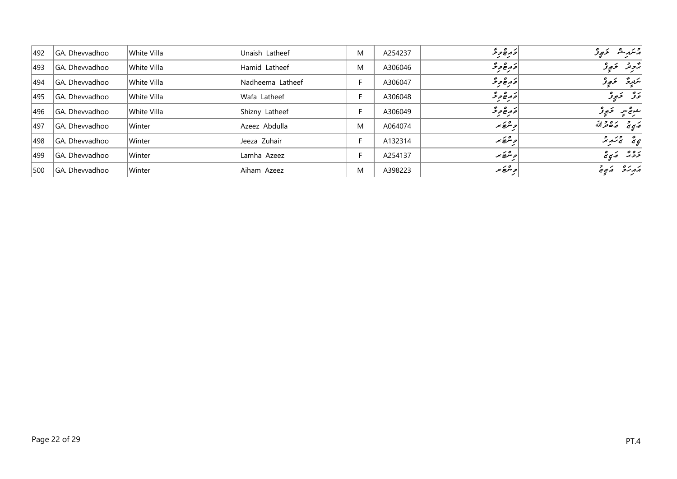| 492 | lGA. Dhevvadhoo | White Villa   | Unaish Latheef   | M | A254237 | عَ مريح عرقحه     | لمرسكرمشو<br>ځ چوگر    |
|-----|-----------------|---------------|------------------|---|---------|-------------------|------------------------|
| 493 | GA. Dhevvadhoo  | White Villa   | Hamid Latheef    | M | A306046 | ءَ مرءٌ ء ِ مَّرَ | برویژ څېړو             |
| 494 | lGA. Dhevvadhoo | l White Villa | Nadheema Latheef |   | A306047 | عَ مريح عرقحه     | سَرَمِرِدَّ - خَ.مِ وَ |
| 495 | lGA. Dhevvadhoo | l White Villa | Wafa Latheef     |   | A306048 | عَ مرعٌ عرقَر     | ءَ تَوَ وَ             |
| 496 | lGA. Dhevvadhoo | l White Villa | Shizny Latheef   |   | A306049 | ءَ مرءٌ ء ِ مَّرَ | شوچ سي ڪيو ٿو          |
| 497 | GA. Dhevvadhoo  | Winter        | Azeez Abdulla    | M | A064074 | ء سرڪ سر          | أصبي صحى الله          |
| 498 | lGA. Dhevvadhoo | Winter        | Jeeza Zuhair     |   | A132314 | ء سرڪ سر          | يې تنځ تم تمريخه       |
| 499 | lGA. Dhevvadhoo | Winter        | Lamha Azeez      |   | A254137 | ء سرڪ سر          | پره پژ<br>ごどっ          |
| 500 | lGA. Dhevvadhoo | Winter        | Aiham Azeez      | M | A398223 | ء سُرْيَحَ س      | پر بر محمد<br>ەسى      |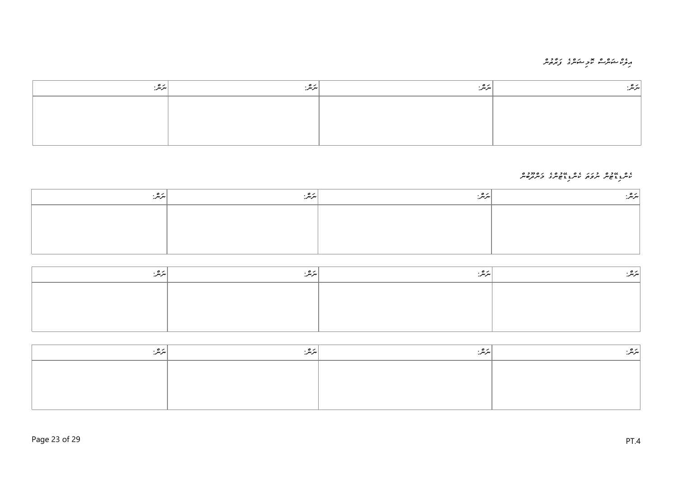## *w7qAn8m? sCw7mRo>u; wEw7mRw;sBo<*

| ' مرمر | 'يئرىثر: |
|--------|----------|
|        |          |
|        |          |
|        |          |

## *w7q9r@w7m> sCw7qHtFoFw7s; mAm=q7 w7qHtFoFw7s;*

| ىر تە | $\mathcal{O} \times$<br>$\sim$ | $\sim$<br>. . | لترنثر |
|-------|--------------------------------|---------------|--------|
|       |                                |               |        |
|       |                                |               |        |
|       |                                |               |        |

| انترنثر: | $^{\circ}$ | يبرهر | $^{\circ}$<br>سرسر |
|----------|------------|-------|--------------------|
|          |            |       |                    |
|          |            |       |                    |
|          |            |       |                    |

| ىرتىر: | 。<br>سر سر | .,<br>مرسر |
|--------|------------|------------|
|        |            |            |
|        |            |            |
|        |            |            |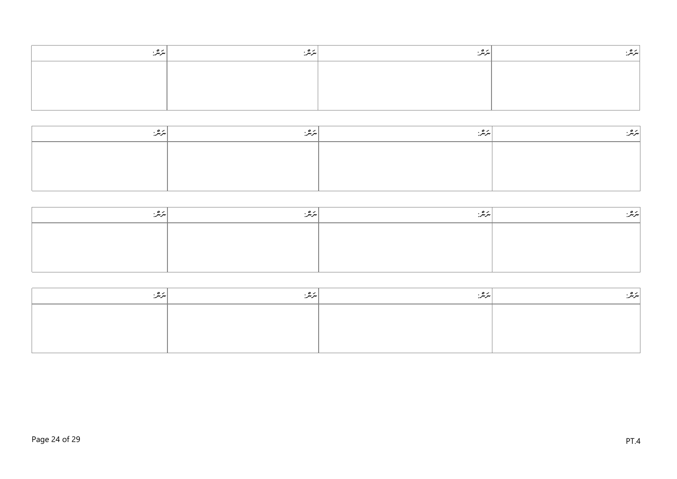| يزهر | $^{\circ}$ | ىئرىتر: |  |
|------|------------|---------|--|
|      |            |         |  |
|      |            |         |  |
|      |            |         |  |

| <sup>.</sup> سرسر. |  |
|--------------------|--|
|                    |  |
|                    |  |
|                    |  |

| ىئرىتر. | $\sim$ | ا بر هه. | لىرىش |
|---------|--------|----------|-------|
|         |        |          |       |
|         |        |          |       |
|         |        |          |       |

| 。<br>مرس. | $\overline{\phantom{a}}$<br>مر سر | يتريثر |
|-----------|-----------------------------------|--------|
|           |                                   |        |
|           |                                   |        |
|           |                                   |        |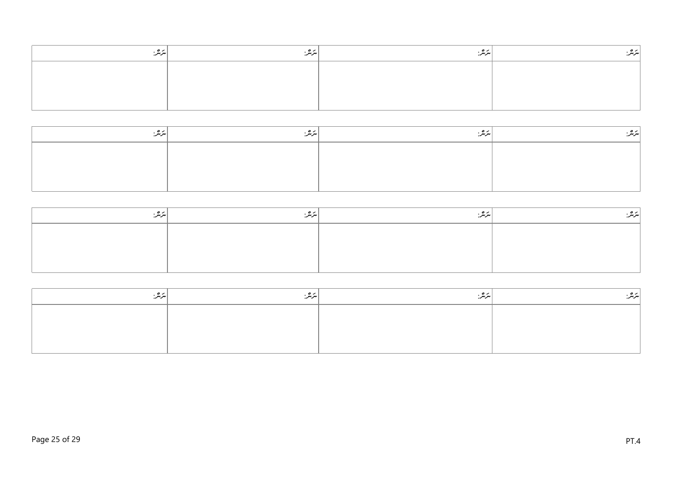| ير هو . | $\overline{\phantom{a}}$ | يرمر | اير هنه. |
|---------|--------------------------|------|----------|
|         |                          |      |          |
|         |                          |      |          |
|         |                          |      |          |

| ىر تىر: | $\circ$ $\sim$<br>" سرسر . | يبرحه | o . |
|---------|----------------------------|-------|-----|
|         |                            |       |     |
|         |                            |       |     |
|         |                            |       |     |

| انترنثر: | ر ه |  |
|----------|-----|--|
|          |     |  |
|          |     |  |
|          |     |  |

|  | . ه |
|--|-----|
|  |     |
|  |     |
|  |     |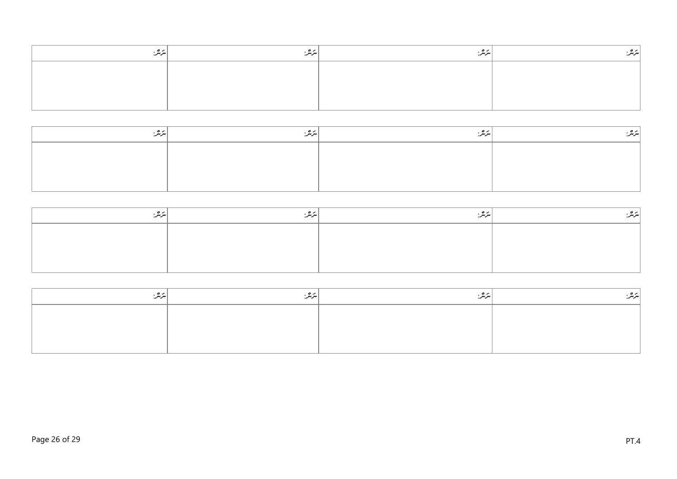| ير هو . | $\overline{\phantom{a}}$ | يرمر | اير هنه. |
|---------|--------------------------|------|----------|
|         |                          |      |          |
|         |                          |      |          |
|         |                          |      |          |

| ىر تىر: | $\circ$ $\sim$<br>" سرسر . | يبرحه | o . |
|---------|----------------------------|-------|-----|
|         |                            |       |     |
|         |                            |       |     |
|         |                            |       |     |

| الترنثر: | ' مرتكز: | الترنثر: | .,<br>سرسر. |
|----------|----------|----------|-------------|
|          |          |          |             |
|          |          |          |             |
|          |          |          |             |

|  | . ه |
|--|-----|
|  |     |
|  |     |
|  |     |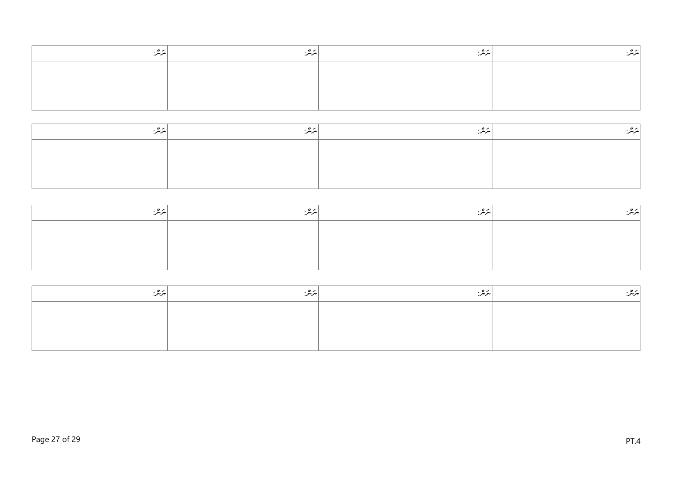| $\cdot$ | ο. | $\frac{\circ}{\cdot}$ | $\sim$<br>سرسر |
|---------|----|-----------------------|----------------|
|         |    |                       |                |
|         |    |                       |                |
|         |    |                       |                |

| يريثن | ' سرسر . |  |
|-------|----------|--|
|       |          |  |
|       |          |  |
|       |          |  |

| بر ه | 。 | $\sim$<br>َ سومس. |  |
|------|---|-------------------|--|
|      |   |                   |  |
|      |   |                   |  |
|      |   |                   |  |

| 。<br>. س | ىرىىر |  |
|----------|-------|--|
|          |       |  |
|          |       |  |
|          |       |  |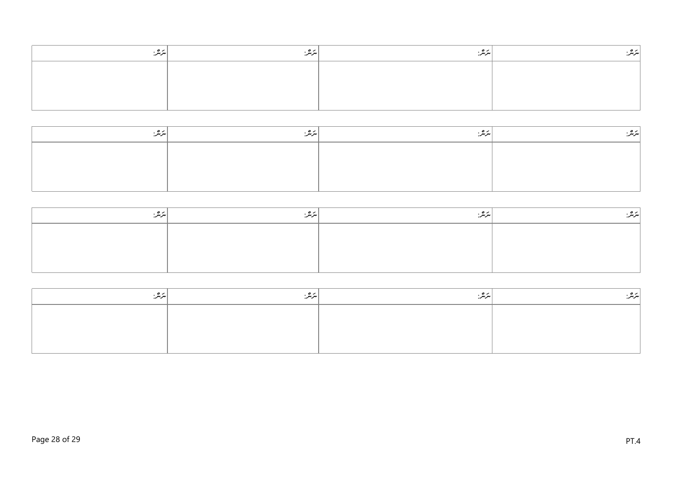| ير هو . | $\overline{\phantom{a}}$ | يرمر | لتزمثن |
|---------|--------------------------|------|--------|
|         |                          |      |        |
|         |                          |      |        |
|         |                          |      |        |

| ىر تىر: | $\circ$ $\sim$<br>" سرسر . | يبرحه | o . |
|---------|----------------------------|-------|-----|
|         |                            |       |     |
|         |                            |       |     |
|         |                            |       |     |

| انترنثر: | ر ه |  |
|----------|-----|--|
|          |     |  |
|          |     |  |
|          |     |  |

|  | . ه |
|--|-----|
|  |     |
|  |     |
|  |     |